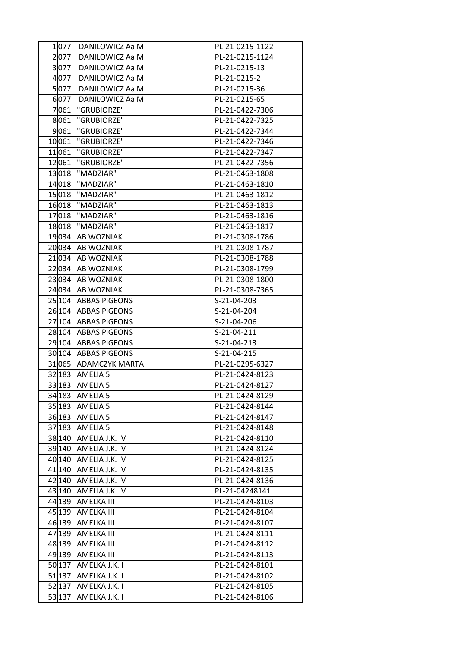| 1 077   | DANILOWICZ Aa M       | PL-21-0215-1122 |
|---------|-----------------------|-----------------|
| 2077    | DANILOWICZ Aa M       | PL-21-0215-1124 |
| 3 077   | DANILOWICZ Aa M       | PL-21-0215-13   |
| 4077    | DANILOWICZ Aa M       | PL-21-0215-2    |
| 5077    | DANILOWICZ Aa M       | PL-21-0215-36   |
| 6 077   | DANILOWICZ Aa M       | PL-21-0215-65   |
| 7061    | "GRUBIORZE"           | PL-21-0422-7306 |
| 8061    | "GRUBIORZE"           | PL-21-0422-7325 |
| 9061    | "GRUBIORZE"           | PL-21-0422-7344 |
| 10061   | "GRUBIORZE"           | PL-21-0422-7346 |
| 11061   | "GRUBIORZE"           | PL-21-0422-7347 |
| 12 061  | "GRUBIORZE"           | PL-21-0422-7356 |
| 13018   | "MADZIAR"             | PL-21-0463-1808 |
| 14018   | "MADZIAR"             | PL-21-0463-1810 |
| 15018   | "MADZIAR"             | PL-21-0463-1812 |
| 16018   | "MADZIAR"             | PL-21-0463-1813 |
|         | "MADZIAR"             | PL-21-0463-1816 |
| 17018   | "MADZIAR"             |                 |
| 18018   |                       | PL-21-0463-1817 |
| 19034   | <b>AB WOZNIAK</b>     | PL-21-0308-1786 |
| 20034   | <b>AB WOZNIAK</b>     | PL-21-0308-1787 |
| 21034   | <b>AB WOZNIAK</b>     | PL-21-0308-1788 |
| 22 034  | <b>AB WOZNIAK</b>     | PL-21-0308-1799 |
| 23 0 34 | <b>AB WOZNIAK</b>     | PL-21-0308-1800 |
| 24 034  | <b>AB WOZNIAK</b>     | PL-21-0308-7365 |
| 25 104  | <b>ABBAS PIGEONS</b>  | S-21-04-203     |
| 26 104  | <b>ABBAS PIGEONS</b>  | S-21-04-204     |
| 27 104  | <b>ABBAS PIGEONS</b>  | S-21-04-206     |
| 28 104  | <b>ABBAS PIGEONS</b>  | S-21-04-211     |
| 29 104  | <b>ABBAS PIGEONS</b>  | S-21-04-213     |
| 30 104  | <b>ABBAS PIGEONS</b>  | S-21-04-215     |
| 31 065  | <b>ADAMCZYK MARTA</b> | PL-21-0295-6327 |
| 32 183  | <b>AMELIA 5</b>       | PL-21-0424-8123 |
| 33 183  | AMELIA <sub>5</sub>   | PL-21-0424-8127 |
|         | 34 183 AMELIA 5       | PL-21-0424-8129 |
|         | 35 183 AMELIA 5       | PL-21-0424-8144 |
|         | 36 183 AMELIA 5       | PL-21-0424-8147 |
| 37 183  | AMELIA <sub>5</sub>   | PL-21-0424-8148 |
|         | 38 140 AMELIA J.K. IV | PL-21-0424-8110 |
|         | 39 140 AMELIA J.K. IV | PL-21-0424-8124 |
|         | 40 140 AMELIA J.K. IV | PL-21-0424-8125 |
|         | 41 140 AMELIA J.K. IV | PL-21-0424-8135 |
|         | 42 140 AMELIA J.K. IV | PL-21-0424-8136 |
|         | 43 140 AMELIA J.K. IV | PL-21-04248141  |
| 44 139  | <b>AMELKA III</b>     | PL-21-0424-8103 |
|         | 45 139 AMELKA III     | PL-21-0424-8104 |
|         | 46 139 AMELKA III     | PL-21-0424-8107 |
|         | 47 139 AMELKA III     | PL-21-0424-8111 |
|         | 48 139 AMELKA III     | PL-21-0424-8112 |
|         | 49 139 AMELKA III     | PL-21-0424-8113 |
| 50 137  | AMELKA J.K. I         | PL-21-0424-8101 |
| 51 137  | AMELKA J.K. I         | PL-21-0424-8102 |
|         | 52 137 AMELKA J.K. I  | PL-21-0424-8105 |
|         | 53 137 AMELKA J.K. I  | PL-21-0424-8106 |
|         |                       |                 |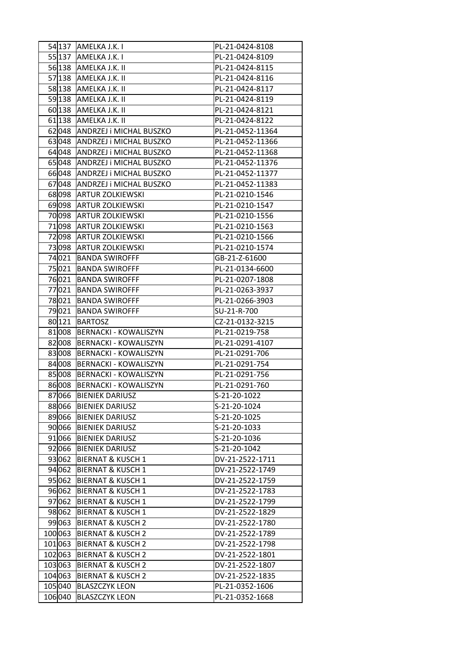| 54 137           | AMELKA J.K. I                                                | PL-21-0424-8108                    |
|------------------|--------------------------------------------------------------|------------------------------------|
| 55 137           | AMELKA J.K. I                                                | PL-21-0424-8109                    |
|                  | 56 138 AMELKA J.K. II                                        | PL-21-0424-8115                    |
| 57 138           | AMELKA J.K. II                                               | PL-21-0424-8116                    |
| 58 138           | AMELKA J.K. II                                               | PL-21-0424-8117                    |
| 59 138           | AMELKA J.K. II                                               | PL-21-0424-8119                    |
| 60 138           | AMELKA J.K. II                                               | PL-21-0424-8121                    |
| 61 138           | AMELKA J.K. II                                               | PL-21-0424-8122                    |
| 62 048           | <b>ANDRZEJ i MICHAL BUSZKO</b>                               | PL-21-0452-11364                   |
| 63048            | ANDRZEJ i MICHAL BUSZKO                                      | PL-21-0452-11366                   |
| 64 048           | ANDRZEJ i MICHAL BUSZKO                                      | PL-21-0452-11368                   |
| 65 048           | <b>ANDRZEJ i MICHAL BUSZKO</b>                               | PL-21-0452-11376                   |
| 66 048           | ANDRZEJ i MICHAL BUSZKO                                      | PL-21-0452-11377                   |
| 67048            | ANDRZEJ i MICHAL BUSZKO                                      | PL-21-0452-11383                   |
| 68 098           | <b>ARTUR ZOLKIEWSKI</b>                                      | PL-21-0210-1546                    |
| 69 098           | <b>ARTUR ZOLKIEWSKI</b>                                      | PL-21-0210-1547                    |
| 70098            | <b>ARTUR ZOLKIEWSKI</b>                                      | PL-21-0210-1556                    |
| 71 098           | <b>ARTUR ZOLKIEWSKI</b>                                      | PL-21-0210-1563                    |
| 72 098           | <b>ARTUR ZOLKIEWSKI</b>                                      | PL-21-0210-1566                    |
| 73 098           | <b>ARTUR ZOLKIEWSKI</b>                                      | PL-21-0210-1574                    |
| 74021            | <b>BANDA SWIROFFF</b>                                        | GB-21-Z-61600                      |
| 75021            | <b>BANDA SWIROFFF</b>                                        | PL-21-0134-6600                    |
| 76021            | <b>BANDA SWIROFFF</b>                                        | PL-21-0207-1808                    |
| 77021            | <b>BANDA SWIROFFF</b>                                        | PL-21-0263-3937                    |
| 78 021           | <b>BANDA SWIROFFF</b>                                        | PL-21-0266-3903                    |
| 79021            | <b>BANDA SWIROFFF</b>                                        | SU-21-R-700                        |
| 80 121           | <b>BARTOSZ</b>                                               | CZ-21-0132-3215                    |
| 81 008           | <b>BERNACKI - KOWALISZYN</b>                                 | PL-21-0219-758                     |
| 82008            | <b>BERNACKI - KOWALISZYN</b>                                 | PL-21-0291-4107                    |
| 83008            | <b>BERNACKI - KOWALISZYN</b>                                 | PL-21-0291-706                     |
| 84 008           | <b>BERNACKI - KOWALISZYN</b>                                 | PL-21-0291-754                     |
| 85008            | <b>BERNACKI - KOWALISZYN</b>                                 | PL-21-0291-756                     |
| 86008            | <b>BERNACKI - KOWALISZYN</b>                                 | PL-21-0291-760                     |
|                  | 87066 BIENIEK DARIUSZ                                        | S-21-20-1022                       |
| 88066            | <b>BIENIEK DARIUSZ</b>                                       | S-21-20-1024                       |
| 89066            | <b>BIENIEK DARIUSZ</b>                                       | S-21-20-1025                       |
| 90 066           | <b>BIENIEK DARIUSZ</b>                                       | S-21-20-1033                       |
| 91 066           | <b>BIENIEK DARIUSZ</b>                                       | S-21-20-1036                       |
| 92 066           | <b>BIENIEK DARIUSZ</b>                                       | S-21-20-1042                       |
|                  | 93062 BIERNAT & KUSCH 1                                      | DV-21-2522-1711                    |
| 94 062           | <b>BIERNAT &amp; KUSCH 1</b>                                 | DV-21-2522-1749                    |
| 95 062           | <b>BIERNAT &amp; KUSCH 1</b>                                 | DV-21-2522-1759                    |
| 96 062           | <b>BIERNAT &amp; KUSCH 1</b>                                 | DV-21-2522-1783                    |
| 97 062           | <b>BIERNAT &amp; KUSCH 1</b>                                 | DV-21-2522-1799                    |
| 98 062           | <b>BIERNAT &amp; KUSCH 1</b>                                 | DV-21-2522-1829                    |
| 99 063           | <b>BIERNAT &amp; KUSCH 2</b>                                 | DV-21-2522-1780                    |
| 100063           | <b>BIERNAT &amp; KUSCH 2</b>                                 | DV-21-2522-1789                    |
|                  |                                                              |                                    |
| 101 063          | <b>BIERNAT &amp; KUSCH 2</b>                                 | DV-21-2522-1798                    |
| 102063<br>103063 | <b>BIERNAT &amp; KUSCH 2</b><br><b>BIERNAT &amp; KUSCH 2</b> | DV-21-2522-1801<br>DV-21-2522-1807 |
| 104 063          | <b>BIERNAT &amp; KUSCH 2</b>                                 |                                    |
| 105040           |                                                              | DV-21-2522-1835                    |
|                  | <b>BLASZCZYK LEON</b>                                        | PL-21-0352-1606                    |
| 106040           | <b>BLASZCZYK LEON</b>                                        | PL-21-0352-1668                    |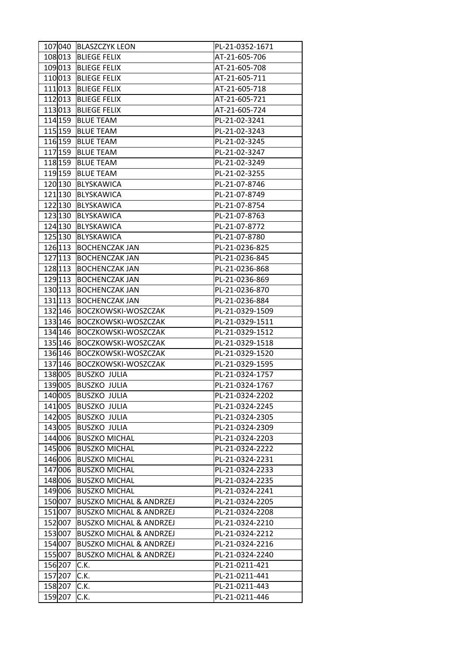|                      | 107040 BLASZCZYK LEON                          | PL-21-0352-1671                    |
|----------------------|------------------------------------------------|------------------------------------|
| 108013               | <b>BLIEGE FELIX</b>                            | AT-21-605-706                      |
| 109013               | <b>BLIEGE FELIX</b>                            | AT-21-605-708                      |
| 110013               | <b>BLIEGE FELIX</b>                            | AT-21-605-711                      |
| 111 013              | <b>BLIEGE FELIX</b>                            | AT-21-605-718                      |
| 112 013              | <b>BLIEGE FELIX</b>                            | AT-21-605-721                      |
| 113013               | <b>BLIEGE FELIX</b>                            | AT-21-605-724                      |
| 114 159              | <b>BLUE TEAM</b>                               | PL-21-02-3241                      |
| 115 159              | <b>BLUE TEAM</b>                               | PL-21-02-3243                      |
| 116 159              | <b>BLUE TEAM</b>                               | PL-21-02-3245                      |
| 117 159              | <b>BLUE TEAM</b>                               | PL-21-02-3247                      |
| 118 159              | <b>BLUE TEAM</b>                               | PL-21-02-3249                      |
| 119 159              | <b>BLUE TEAM</b>                               | PL-21-02-3255                      |
| 120 130              | BLYSKAWICA                                     | PL-21-07-8746                      |
| 121 130              | BLYSKAWICA                                     | PL-21-07-8749                      |
| 122 130              | BLYSKAWICA                                     | PL-21-07-8754                      |
| 123 130              | BLYSKAWICA                                     | PL-21-07-8763                      |
| $\overline{12}4 130$ | BLYSKAWICA                                     | PL-21-07-8772                      |
| 125 130              | BLYSKAWICA                                     | PL-21-07-8780                      |
| 126 113              | <b>BOCHENCZAK JAN</b>                          | PL-21-0236-825                     |
| 127 113              | <b>BOCHENCZAK JAN</b>                          | PL-21-0236-845                     |
| 128 113              |                                                |                                    |
| 129 113              | <b>BOCHENCZAK JAN</b><br><b>BOCHENCZAK JAN</b> | PL-21-0236-868<br>PL-21-0236-869   |
|                      |                                                | PL-21-0236-870                     |
| 130 113<br>131 13    | <b>BOCHENCZAK JAN</b>                          |                                    |
|                      | <b>BOCHENCZAK JAN</b>                          | PL-21-0236-884                     |
| 132 146<br>133 146   | BOCZKOWSKI-WOSZCZAK<br>BOCZKOWSKI-WOSZCZAK     | PL-21-0329-1509<br>PL-21-0329-1511 |
| 134 146              | <b>BOCZKOWSKI-WOSZCZAK</b>                     | PL-21-0329-1512                    |
| 135 146              | <b>BOCZKOWSKI-WOSZCZAK</b>                     | PL-21-0329-1518                    |
| 136 146              | <b>BOCZKOWSKI-WOSZCZAK</b>                     | PL-21-0329-1520                    |
| 137 146              | BOCZKOWSKI-WOSZCZAK                            | PL-21-0329-1595                    |
| 138005               | <b>BUSZKO JULIA</b>                            | PL-21-0324-1757                    |
|                      |                                                |                                    |
| 139005               | <b>BUSZKO JULIA</b>                            | PL-21-0324-1767                    |
|                      | 140005 BUSZKO JULIA                            | PL-21-0324-2202                    |
| 141 005              | <b>BUSZKO JULIA</b>                            | PL-21-0324-2245                    |
| 142 005              | <b>BUSZKO JULIA</b>                            | PL-21-0324-2305                    |
| 143 005              | <b>BUSZKO JULIA</b>                            | PL-21-0324-2309                    |
| 144 006              | <b>BUSZKO MICHAL</b>                           | PL-21-0324-2203                    |
|                      | 145006 BUSZKO MICHAL                           | PL-21-0324-2222                    |
| 146006               | <b>BUSZKO MICHAL</b>                           | PL-21-0324-2231                    |
| 147006               | <b>BUSZKO MICHAL</b>                           | PL-21-0324-2233                    |
|                      | 148006 BUSZKO MICHAL                           | PL-21-0324-2235                    |
| 149006               | <b>BUSZKO MICHAL</b>                           | PL-21-0324-2241                    |
| 150007               | <b>BUSZKO MICHAL &amp; ANDRZEJ</b>             | PL-21-0324-2205                    |
| 151 007              | <b>BUSZKO MICHAL &amp; ANDRZEJ</b>             | PL-21-0324-2208                    |
| 152 007              | <b>BUSZKO MICHAL &amp; ANDRZEJ</b>             | PL-21-0324-2210                    |
| 153007               | <b>BUSZKO MICHAL &amp; ANDRZEJ</b>             | PL-21-0324-2212                    |
| 154 007              | <b>BUSZKO MICHAL &amp; ANDRZEJ</b>             | PL-21-0324-2216                    |
| 155007               | <b>BUSZKO MICHAL &amp; ANDRZEJ</b>             | PL-21-0324-2240                    |
| 156 207              | C.K.                                           | PL-21-0211-421                     |
| 157 207              | C.K.                                           | PL-21-0211-441                     |
| 158 207              | C.K.                                           | PL-21-0211-443                     |
| 159 207              | C.K.                                           | PL-21-0211-446                     |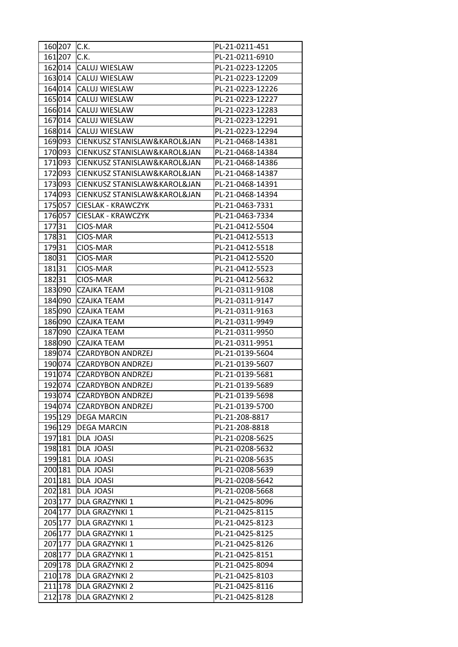| 160 207 | IC.K.                        | PL-21-0211-451   |
|---------|------------------------------|------------------|
| 161 207 | C.K.                         | PL-21-0211-6910  |
| 162014  | <b>CALUJ WIESLAW</b>         | PL-21-0223-12205 |
| 163014  | <b>CALUJ WIESLAW</b>         | PL-21-0223-12209 |
| 164 014 | <b>CALUJ WIESLAW</b>         | PL-21-0223-12226 |
| 165014  | <b>CALUJ WIESLAW</b>         | PL-21-0223-12227 |
| 166014  | <b>CALUJ WIESLAW</b>         | PL-21-0223-12283 |
| 167014  | <b>CALUJ WIESLAW</b>         | PL-21-0223-12291 |
| 168014  | <b>CALUJ WIESLAW</b>         | PL-21-0223-12294 |
| 169093  | CIENKUSZ STANISLAW&KAROL&JAN | PL-21-0468-14381 |
| 170093  | CIENKUSZ STANISLAW&KAROL&JAN | PL-21-0468-14384 |
| 171093  | CIENKUSZ STANISLAW&KAROL&JAN | PL-21-0468-14386 |
| 172093  | CIENKUSZ STANISLAW&KAROL&JAN | PL-21-0468-14387 |
| 173093  | CIENKUSZ STANISLAW&KAROL&JAN | PL-21-0468-14391 |
| 174093  | CIENKUSZ STANISLAW&KAROL&JAN | PL-21-0468-14394 |
| 175057  | <b>CIESLAK - KRAWCZYK</b>    | PL-21-0463-7331  |
| 176057  | <b>CIESLAK - KRAWCZYK</b>    | PL-21-0463-7334  |
| 17731   | CIOS-MAR                     | PL-21-0412-5504  |
| 17831   | CIOS-MAR                     | PL-21-0412-5513  |
| 17931   |                              |                  |
|         | CIOS-MAR                     | PL-21-0412-5518  |
| 18031   | CIOS-MAR                     | PL-21-0412-5520  |
| 18131   | CIOS-MAR                     | PL-21-0412-5523  |
| 18231   | CIOS-MAR                     | PL-21-0412-5632  |
| 183090  | <b>CZAJKA TEAM</b>           | PL-21-0311-9108  |
| 184 090 | <b>CZAJKA TEAM</b>           | PL-21-0311-9147  |
| 185090  | <b>CZAJKA TEAM</b>           | PL-21-0311-9163  |
| 186090  | <b>CZAJKA TEAM</b>           | PL-21-0311-9949  |
| 187090  | <b>CZAJKA TEAM</b>           | PL-21-0311-9950  |
| 188090  | <b>CZAJKA TEAM</b>           | PL-21-0311-9951  |
| 189074  | <b>CZARDYBON ANDRZEJ</b>     | PL-21-0139-5604  |
| 190074  | <b>CZARDYBON ANDRZEJ</b>     | PL-21-0139-5607  |
| 191 074 | <b>CZARDYBON ANDRZEJ</b>     | PL-21-0139-5681  |
| 192 074 | <b>CZARDYBON ANDRZEJ</b>     | PL-21-0139-5689  |
|         | 193074 CZARDYBON ANDRZEJ     | PL-21-0139-5698  |
|         | 194 074 CZARDYBON ANDRZEJ    | PL-21-0139-5700  |
| 195 129 | <b>DEGA MARCIN</b>           | PL-21-208-8817   |
| 196 129 | <b>DEGA MARCIN</b>           | PL-21-208-8818   |
| 197 181 | DLA JOASI                    | PL-21-0208-5625  |
| 198 181 | DLA JOASI                    | PL-21-0208-5632  |
| 199 181 | DLA JOASI                    | PL-21-0208-5635  |
| 200 181 | DLA JOASI                    | PL-21-0208-5639  |
| 201 181 | <b>DLA JOASI</b>             | PL-21-0208-5642  |
| 202 181 | <b>DLA JOASI</b>             | PL-21-0208-5668  |
| 203 177 | <b>DLA GRAZYNKI 1</b>        | PL-21-0425-8096  |
| 204 177 | <b>DLA GRAZYNKI 1</b>        | PL-21-0425-8115  |
| 205 177 | <b>DLA GRAZYNKI 1</b>        | PL-21-0425-8123  |
| 206 177 | <b>DLA GRAZYNKI 1</b>        | PL-21-0425-8125  |
| 207 177 | DLA GRAZYNKI 1               | PL-21-0425-8126  |
| 208 177 | DLA GRAZYNKI 1               | PL-21-0425-8151  |
| 209 178 | <b>DLA GRAZYNKI 2</b>        | PL-21-0425-8094  |
| 210 178 | <b>DLA GRAZYNKI 2</b>        | PL-21-0425-8103  |
| 211 178 | <b>DLA GRAZYNKI 2</b>        | PL-21-0425-8116  |
| 212 178 | <b>DLA GRAZYNKI 2</b>        | PL-21-0425-8128  |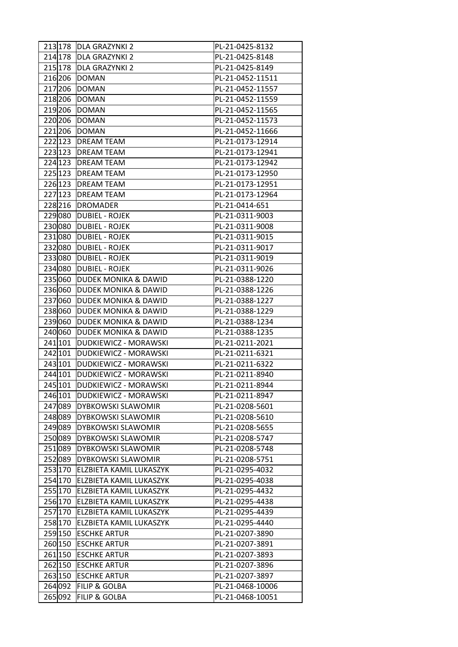|         | 213 178 DLA GRAZYNKI 2          | PL-21-0425-8132  |
|---------|---------------------------------|------------------|
| 214 178 | <b>DLA GRAZYNKI 2</b>           | PL-21-0425-8148  |
| 215 178 | <b>DLA GRAZYNKI 2</b>           | PL-21-0425-8149  |
| 216 206 | <b>DOMAN</b>                    | PL-21-0452-11511 |
| 217 206 | <b>DOMAN</b>                    | PL-21-0452-11557 |
| 218 206 | <b>DOMAN</b>                    | PL-21-0452-11559 |
| 219 206 | <b>DOMAN</b>                    | PL-21-0452-11565 |
| 220 206 | <b>DOMAN</b>                    | PL-21-0452-11573 |
| 221 206 | <b>IDOMAN</b>                   | PL-21-0452-11666 |
| 222 123 | <b>DREAM TEAM</b>               | PL-21-0173-12914 |
| 223 123 | <b>DREAM TEAM</b>               | PL-21-0173-12941 |
| 224 123 | <b>DREAM TEAM</b>               | PL-21-0173-12942 |
| 225 123 | <b>DREAM TEAM</b>               | PL-21-0173-12950 |
| 226 123 | <b>DREAM TEAM</b>               | PL-21-0173-12951 |
| 227 123 | <b>DREAM TEAM</b>               | PL-21-0173-12964 |
| 228 216 | <b>DROMADER</b>                 | PL-21-0414-651   |
| 229080  | <b>DUBIEL - ROJEK</b>           | PL-21-0311-9003  |
| 230080  | <b>DUBIEL - ROJEK</b>           | PL-21-0311-9008  |
| 231080  | <b>DUBIEL - ROJEK</b>           | PL-21-0311-9015  |
| 232080  | <b>DUBIEL - ROJEK</b>           | PL-21-0311-9017  |
| 233080  | <b>DUBIEL - ROJEK</b>           | PL-21-0311-9019  |
| 234080  | <b>DUBIEL - ROJEK</b>           | PL-21-0311-9026  |
| 235 060 | <b>DUDEK MONIKA &amp; DAWID</b> | PL-21-0388-1220  |
| 236060  | <b>DUDEK MONIKA &amp; DAWID</b> | PL-21-0388-1226  |
| 237060  | <b>DUDEK MONIKA &amp; DAWID</b> | PL-21-0388-1227  |
| 238060  | <b>DUDEK MONIKA &amp; DAWID</b> | PL-21-0388-1229  |
| 239060  | <b>DUDEK MONIKA &amp; DAWID</b> | PL-21-0388-1234  |
| 240060  | <b>DUDEK MONIKA &amp; DAWID</b> | PL-21-0388-1235  |
| 241 101 | DUDKIEWICZ - MORAWSKI           | PL-21-0211-2021  |
| 242 101 | DUDKIEWICZ - MORAWSKI           | PL-21-0211-6321  |
| 243 101 | DUDKIEWICZ - MORAWSKI           | PL-21-0211-6322  |
| 244 101 | DUDKIEWICZ - MORAWSKI           | PL-21-0211-8940  |
| 245 101 | DUDKIEWICZ - MORAWSKI           | PL-21-0211-8944  |
| 246 101 | DUDKIEWICZ - MORAWSKI           | PL-21-0211-8947  |
| 247 089 | DYBKOWSKI SLAWOMIR              | PL-21-0208-5601  |
| 248 089 | <b>DYBKOWSKI SLAWOMIR</b>       | PL-21-0208-5610  |
| 249089  | <b>DYBKOWSKI SLAWOMIR</b>       | PL-21-0208-5655  |
| 250089  | <b>DYBKOWSKI SLAWOMIR</b>       | PL-21-0208-5747  |
| 251 089 | <b>DYBKOWSKI SLAWOMIR</b>       | PL-21-0208-5748  |
| 252089  | <b>DYBKOWSKI SLAWOMIR</b>       | PL-21-0208-5751  |
| 253 170 | ELZBIETA KAMIL LUKASZYK         | PL-21-0295-4032  |
| 254 170 | <b>ELZBIETA KAMIL LUKASZYK</b>  | PL-21-0295-4038  |
| 255 170 | ELZBIETA KAMIL LUKASZYK         | PL-21-0295-4432  |
| 256 170 | ELZBIETA KAMIL LUKASZYK         | PL-21-0295-4438  |
| 257 170 | ELZBIETA KAMIL LUKASZYK         | PL-21-0295-4439  |
| 258 170 | ELZBIETA KAMIL LUKASZYK         | PL-21-0295-4440  |
| 259 150 | <b>ESCHKE ARTUR</b>             | PL-21-0207-3890  |
| 260 150 | <b>ESCHKE ARTUR</b>             | PL-21-0207-3891  |
| 261 150 | <b>ESCHKE ARTUR</b>             | PL-21-0207-3893  |
| 262 150 | <b>ESCHKE ARTUR</b>             | PL-21-0207-3896  |
| 263 150 | <b>ESCHKE ARTUR</b>             | PL-21-0207-3897  |
|         | 264 092 FILIP & GOLBA           | PL-21-0468-10006 |
| 265 092 | <b>FILIP &amp; GOLBA</b>        | PL-21-0468-10051 |
|         |                                 |                  |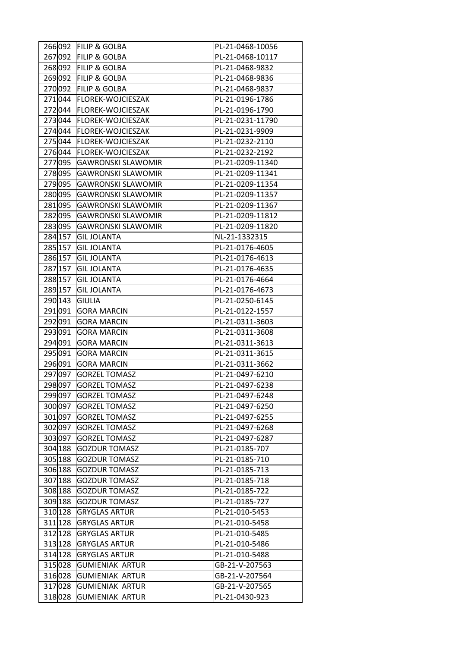|         | 266092 FILIP & GOLBA      | PL-21-0468-10056 |
|---------|---------------------------|------------------|
| 267 092 | <b>FILIP &amp; GOLBA</b>  | PL-21-0468-10117 |
|         | 268092 FILIP & GOLBA      | PL-21-0468-9832  |
| 269092  | <b>FILIP &amp; GOLBA</b>  | PL-21-0468-9836  |
| 270092  | <b>FILIP &amp; GOLBA</b>  | PL-21-0468-9837  |
| 271044  | <b>FLOREK-WOJCIESZAK</b>  | PL-21-0196-1786  |
| 272044  | <b>FLOREK-WOJCIESZAK</b>  | PL-21-0196-1790  |
| 273044  | <b>FLOREK-WOJCIESZAK</b>  | PL-21-0231-11790 |
| 274044  | <b>FLOREK-WOJCIESZAK</b>  | PL-21-0231-9909  |
| 275044  | <b>FLOREK-WOJCIESZAK</b>  | PL-21-0232-2110  |
| 276044  | <b>FLOREK-WOJCIESZAK</b>  | PL-21-0232-2192  |
| 277095  | <b>GAWRONSKI SLAWOMIR</b> | PL-21-0209-11340 |
| 278 095 | <b>GAWRONSKI SLAWOMIR</b> | PL-21-0209-11341 |
| 279095  | <b>GAWRONSKI SLAWOMIR</b> | PL-21-0209-11354 |
| 280 095 | <b>GAWRONSKI SLAWOMIR</b> | PL-21-0209-11357 |
| 281 095 | <b>GAWRONSKI SLAWOMIR</b> | PL-21-0209-11367 |
| 282 095 | <b>GAWRONSKI SLAWOMIR</b> | PL-21-0209-11812 |
| 283095  | <b>GAWRONSKI SLAWOMIR</b> | PL-21-0209-11820 |
| 284 157 | <b>GIL JOLANTA</b>        | NL-21-1332315    |
| 285 157 | <b>GIL JOLANTA</b>        | PL-21-0176-4605  |
| 286 157 | <b>GIL JOLANTA</b>        | PL-21-0176-4613  |
| 287 157 | <b>GIL JOLANTA</b>        | PL-21-0176-4635  |
| 288 157 | <b>GIL JOLANTA</b>        | PL-21-0176-4664  |
| 289 157 | <b>GIL JOLANTA</b>        | PL-21-0176-4673  |
| 290 143 | <b>GIULIA</b>             | PL-21-0250-6145  |
| 291 091 | <b>GORA MARCIN</b>        | PL-21-0122-1557  |
| 292 091 | <b>GORA MARCIN</b>        | PL-21-0311-3603  |
| 293091  | <b>GORA MARCIN</b>        | PL-21-0311-3608  |
| 294 091 | <b>GORA MARCIN</b>        | PL-21-0311-3613  |
| 295 091 | <b>GORA MARCIN</b>        | PL-21-0311-3615  |
| 296 091 | <b>GORA MARCIN</b>        | PL-21-0311-3662  |
| 297 097 | <b>GORZEL TOMASZ</b>      | PL-21-0497-6210  |
| 298 097 | <b>GORZEL TOMASZ</b>      | PL-21-0497-6238  |
| 299 097 | <b>GORZEL TOMASZ</b>      | PL-21-0497-6248  |
| 300 097 | <b>GORZEL TOMASZ</b>      | PL-21-0497-6250  |
| 301 097 | <b>GORZEL TOMASZ</b>      | PL-21-0497-6255  |
| 302 097 | <b>GORZEL TOMASZ</b>      | PL-21-0497-6268  |
| 303097  | <b>GORZEL TOMASZ</b>      | PL-21-0497-6287  |
| 304 188 | <b>GOZDUR TOMASZ</b>      | PL-21-0185-707   |
| 305 188 | <b>GOZDUR TOMASZ</b>      | PL-21-0185-710   |
| 306 188 | <b>GOZDUR TOMASZ</b>      | PL-21-0185-713   |
| 307 188 | <b>GOZDUR TOMASZ</b>      | PL-21-0185-718   |
| 308 188 | <b>GOZDUR TOMASZ</b>      | PL-21-0185-722   |
| 309 188 | <b>GOZDUR TOMASZ</b>      | PL-21-0185-727   |
| 310 128 | <b>GRYGLAS ARTUR</b>      | PL-21-010-5453   |
| 311 128 | <b>GRYGLAS ARTUR</b>      | PL-21-010-5458   |
| 312 128 | <b>GRYGLAS ARTUR</b>      | PL-21-010-5485   |
| 313 128 | <b>GRYGLAS ARTUR</b>      | PL-21-010-5486   |
| 314 128 | <b>GRYGLAS ARTUR</b>      | PL-21-010-5488   |
| 315028  | <b>GUMIENIAK ARTUR</b>    | GB-21-V-207563   |
| 316 028 | <b>GUMIENIAK ARTUR</b>    | GB-21-V-207564   |
| 317 028 | <b>GUMIENIAK ARTUR</b>    | GB-21-V-207565   |
| 318028  | <b>GUMIENIAK ARTUR</b>    | PL-21-0430-923   |
|         |                           |                  |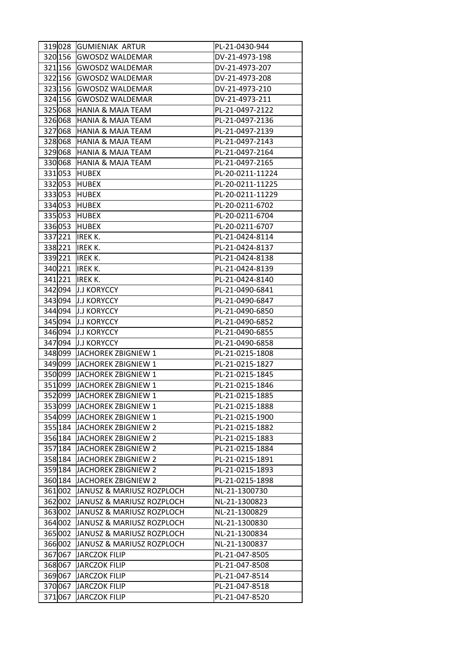| 319028  | <b>GUMIENIAK ARTUR</b>           | PL-21-0430-944   |
|---------|----------------------------------|------------------|
| 320 156 | <b>GWOSDZ WALDEMAR</b>           | DV-21-4973-198   |
| 321 156 | <b>GWOSDZ WALDEMAR</b>           | DV-21-4973-207   |
| 322 156 | <b>GWOSDZ WALDEMAR</b>           | DV-21-4973-208   |
| 323 156 | <b>GWOSDZ WALDEMAR</b>           | DV-21-4973-210   |
| 324 156 | <b>GWOSDZ WALDEMAR</b>           | DV-21-4973-211   |
| 325068  | <b>HANIA &amp; MAJA TEAM</b>     | PL-21-0497-2122  |
| 326068  | <b>HANIA &amp; MAJA TEAM</b>     | PL-21-0497-2136  |
| 327068  | <b>HANIA &amp; MAJA TEAM</b>     | PL-21-0497-2139  |
| 328068  | <b>HANIA &amp; MAJA TEAM</b>     | PL-21-0497-2143  |
| 329068  | <b>HANIA &amp; MAJA TEAM</b>     | PL-21-0497-2164  |
| 330 068 | <b>HANIA &amp; MAJA TEAM</b>     | PL-21-0497-2165  |
| 331053  | <b>HUBEX</b>                     | PL-20-0211-11224 |
| 332 053 | <b>HUBEX</b>                     | PL-20-0211-11225 |
| 333053  | <b>HUBEX</b>                     | PL-20-0211-11229 |
| 334 053 | <b>HUBEX</b>                     | PL-20-0211-6702  |
| 335053  | <b>HUBEX</b>                     | PL-20-0211-6704  |
| 336 053 | HUBEX                            | PL-20-0211-6707  |
| 337221  | <b>IREK K.</b>                   | PL-21-0424-8114  |
| 338221  | <b>IREK K.</b>                   | PL-21-0424-8137  |
| 339221  | <b>IREKK.</b>                    | PL-21-0424-8138  |
| 340 221 | <b>IREK K.</b>                   | PL-21-0424-8139  |
| 341221  | <b>IREK K.</b>                   | PL-21-0424-8140  |
| 342 094 | <b>J.J KORYCCY</b>               | PL-21-0490-6841  |
|         | 343094 J.J KORYCCY               | PL-21-0490-6847  |
| 344 094 | <b>J.J KORYCCY</b>               | PL-21-0490-6850  |
| 345 094 | <b>J.J KORYCCY</b>               | PL-21-0490-6852  |
| 346 094 | <b>J.J KORYCCY</b>               | PL-21-0490-6855  |
| 347 094 | <b>J.J KORYCCY</b>               | PL-21-0490-6858  |
| 348 099 | JACHOREK ZBIGNIEW 1              | PL-21-0215-1808  |
| 349 099 | JACHOREK ZBIGNIEW 1              | PL-21-0215-1827  |
| 350 099 | JACHOREK ZBIGNIEW 1              | PL-21-0215-1845  |
| 351099  | JACHOREK ZBIGNIEW 1              | PL-21-0215-1846  |
|         | 352 099 JACHOREK ZBIGNIEW 1      | PL-21-0215-1885  |
|         | 353099 JACHOREK ZBIGNIEW 1       | PL-21-0215-1888  |
| 354 099 | JACHOREK ZBIGNIEW 1              | PL-21-0215-1900  |
| 355 184 | JACHOREK ZBIGNIEW 2              | PL-21-0215-1882  |
| 356 184 | JACHOREK ZBIGNIEW 2              | PL-21-0215-1883  |
|         | 357 184 JACHOREK ZBIGNIEW 2      | PL-21-0215-1884  |
|         | 358 184 JACHOREK ZBIGNIEW 2      | PL-21-0215-1891  |
|         | 359 184 JACHOREK ZBIGNIEW 2      | PL-21-0215-1893  |
|         | 360 184 JACHOREK ZBIGNIEW 2      | PL-21-0215-1898  |
| 361 002 | JANUSZ & MARIUSZ ROZPLOCH        | NL-21-1300730    |
| 362002  | JANUSZ & MARIUSZ ROZPLOCH        | NL-21-1300823    |
|         | 363002 JANUSZ & MARIUSZ ROZPLOCH | NL-21-1300829    |
| 364 002 | JANUSZ & MARIUSZ ROZPLOCH        | NL-21-1300830    |
| 365002  | JANUSZ & MARIUSZ ROZPLOCH        | NL-21-1300834    |
| 366002  | JANUSZ & MARIUSZ ROZPLOCH        | NL-21-1300837    |
| 367067  | JARCZOK FILIP                    | PL-21-047-8505   |
| 368067  | JARCZOK FILIP                    | PL-21-047-8508   |
| 369067  | JARCZOK FILIP                    | PL-21-047-8514   |
|         | 370067 JARCZOK FILIP             | PL-21-047-8518   |
| 371067  | JARCZOK FILIP                    | PL-21-047-8520   |
|         |                                  |                  |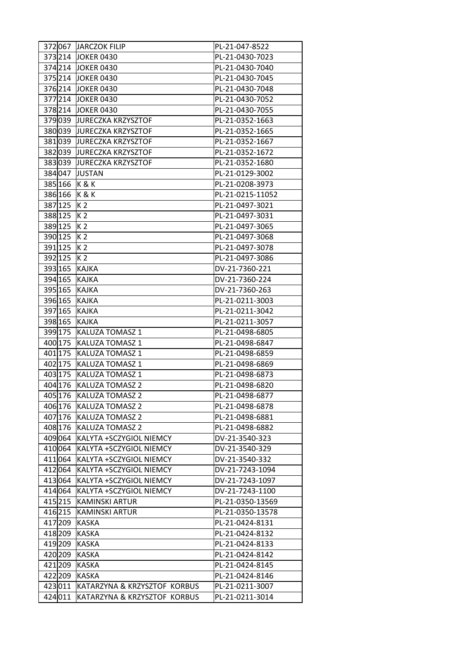| 372 067 | JARCZOK FILIP                | PL-21-047-8522   |
|---------|------------------------------|------------------|
| 373214  | <b>JOKER 0430</b>            | PL-21-0430-7023  |
|         | 374 214 JOKER 0430           | PL-21-0430-7040  |
|         | 375 214 JOKER 0430           | PL-21-0430-7045  |
| 376 214 | <b>JOKER 0430</b>            | PL-21-0430-7048  |
| 377214  | <b>JOKER 0430</b>            | PL-21-0430-7052  |
| 378214  | <b>JOKER 0430</b>            | PL-21-0430-7055  |
| 379039  | <b>JURECZKA KRZYSZTOF</b>    | PL-21-0352-1663  |
| 380039  | <b>JURECZKA KRZYSZTOF</b>    | PL-21-0352-1665  |
| 381039  | <b>JURECZKA KRZYSZTOF</b>    | PL-21-0352-1667  |
| 382 039 | <b>JURECZKA KRZYSZTOF</b>    | PL-21-0352-1672  |
| 383039  | <b>JURECZKA KRZYSZTOF</b>    | PL-21-0352-1680  |
| 384 047 | <b>JUSTAN</b>                | PL-21-0129-3002  |
| 385 166 | K&K                          | PL-21-0208-3973  |
| 386 166 | K&K                          | PL-21-0215-11052 |
| 387 125 | K <sub>2</sub>               | PL-21-0497-3021  |
| 388 125 | K <sub>2</sub>               | PL-21-0497-3031  |
| 389 125 | K <sub>2</sub>               | PL-21-0497-3065  |
| 390 125 | K 2                          | PL-21-0497-3068  |
| 391 125 | K <sub>2</sub>               | PL-21-0497-3078  |
| 392 125 | K <sub>2</sub>               | PL-21-0497-3086  |
| 393 165 | <b>KAJKA</b>                 | DV-21-7360-221   |
| 394 165 | <b>KAJKA</b>                 | DV-21-7360-224   |
| 395 165 | <b>KAJKA</b>                 | DV-21-7360-263   |
| 396 165 | <b>KAJKA</b>                 | PL-21-0211-3003  |
| 397 165 | <b>KAJKA</b>                 | PL-21-0211-3042  |
| 398 165 | <b>KAJKA</b>                 | PL-21-0211-3057  |
| 399 175 | KALUZA TOMASZ 1              | PL-21-0498-6805  |
| 400 175 | KALUZA TOMASZ 1              | PL-21-0498-6847  |
| 401 175 | <b>KALUZA TOMASZ 1</b>       | PL-21-0498-6859  |
| 402 175 | <b>KALUZA TOMASZ 1</b>       | PL-21-0498-6869  |
| 403 175 | <b>KALUZA TOMASZ 1</b>       | PL-21-0498-6873  |
| 404 176 | KALUZA TOMASZ 2              | PL-21-0498-6820  |
|         | 405 176 KALUZA TOMASZ 2      | PL-21-0498-6877  |
|         | 406 176 KALUZA TOMASZ 2      | PL-21-0498-6878  |
|         | 407 176 KALUZA TOMASZ 2      | PL-21-0498-6881  |
| 408 176 | <b>KALUZA TOMASZ 2</b>       | PL-21-0498-6882  |
| 409064  | KALYTA +SCZYGIOL NIEMCY      | DV-21-3540-323   |
| 410064  | KALYTA +SCZYGIOL NIEMCY      | DV-21-3540-329   |
| 411 064 | KALYTA +SCZYGIOL NIEMCY      | DV-21-3540-332   |
| 412 064 | KALYTA +SCZYGIOL NIEMCY      | DV-21-7243-1094  |
| 413064  | KALYTA +SCZYGIOL NIEMCY      | DV-21-7243-1097  |
| 414 064 | KALYTA +SCZYGIOL NIEMCY      | DV-21-7243-1100  |
| 415 215 | <b>KAMINSKI ARTUR</b>        | PL-21-0350-13569 |
| 416 215 | <b>KAMINSKI ARTUR</b>        | PL-21-0350-13578 |
| 417 209 | KASKA                        | PL-21-0424-8131  |
| 418 209 | <b>KASKA</b>                 | PL-21-0424-8132  |
| 419 209 | <b>KASKA</b>                 | PL-21-0424-8133  |
| 420 209 | <b>KASKA</b>                 | PL-21-0424-8142  |
| 421 209 | <b>KASKA</b>                 | PL-21-0424-8145  |
| 422 209 | <b>KASKA</b>                 | PL-21-0424-8146  |
| 423011  | KATARZYNA & KRZYSZTOF KORBUS | PL-21-0211-3007  |
| 424 011 | KATARZYNA & KRZYSZTOF KORBUS | PL-21-0211-3014  |
|         |                              |                  |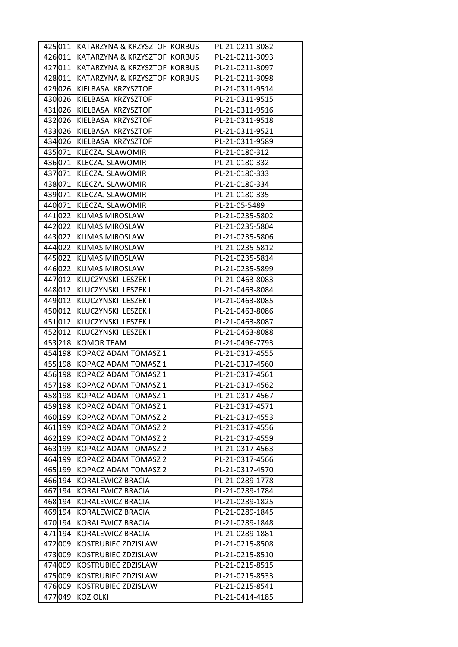|         | 425011 KATARZYNA & KRZYSZTOF KORBUS | PL-21-0211-3082 |
|---------|-------------------------------------|-----------------|
| 426011  | KATARZYNA & KRZYSZTOF KORBUS        | PL-21-0211-3093 |
| 427 011 | KATARZYNA & KRZYSZTOF KORBUS        | PL-21-0211-3097 |
| 428011  | KATARZYNA & KRZYSZTOF KORBUS        | PL-21-0211-3098 |
| 429026  | KIELBASA KRZYSZTOF                  | PL-21-0311-9514 |
| 430026  | KIELBASA KRZYSZTOF                  | PL-21-0311-9515 |
| 431026  | KIELBASA KRZYSZTOF                  | PL-21-0311-9516 |
| 432026  | KIELBASA KRZYSZTOF                  | PL-21-0311-9518 |
| 433026  | KIELBASA KRZYSZTOF                  | PL-21-0311-9521 |
| 434026  | KIELBASA KRZYSZTOF                  | PL-21-0311-9589 |
| 435071  | <b>KLECZAJ SLAWOMIR</b>             | PL-21-0180-312  |
| 436071  | <b>KLECZAJ SLAWOMIR</b>             | PL-21-0180-332  |
| 437071  | <b>KLECZAJ SLAWOMIR</b>             | PL-21-0180-333  |
| 438071  | <b>KLECZAJ SLAWOMIR</b>             | PL-21-0180-334  |
| 439071  | <b>KLECZAJ SLAWOMIR</b>             | PL-21-0180-335  |
| 440 071 | <b>KLECZAJ SLAWOMIR</b>             | PL-21-05-5489   |
| 441022  | <b>KLIMAS MIROSLAW</b>              | PL-21-0235-5802 |
| 442 022 | <b>KLIMAS MIROSLAW</b>              | PL-21-0235-5804 |
| 443022  | <b>KLIMAS MIROSLAW</b>              | PL-21-0235-5806 |
| 444022  | <b>KLIMAS MIROSLAW</b>              | PL-21-0235-5812 |
| 445022  | <b>KLIMAS MIROSLAW</b>              | PL-21-0235-5814 |
| 446022  | <b>KLIMAS MIROSLAW</b>              | PL-21-0235-5899 |
| 447 012 | KLUCZYNSKI LESZEK I                 | PL-21-0463-8083 |
| 448012  | KLUCZYNSKI LESZEK I                 | PL-21-0463-8084 |
| 449012  | KLUCZYNSKI LESZEK I                 | PL-21-0463-8085 |
| 450012  | KLUCZYNSKI LESZEK I                 | PL-21-0463-8086 |
| 451012  | KLUCZYNSKI LESZEK I                 | PL-21-0463-8087 |
| 452012  | KLUCZYNSKI LESZEK I                 | PL-21-0463-8088 |
| 453218  | KOMOR TEAM                          | PL-21-0496-7793 |
| 454 198 | KOPACZ ADAM TOMASZ 1                | PL-21-0317-4555 |
| 455 198 | KOPACZ ADAM TOMASZ 1                | PL-21-0317-4560 |
| 456 198 | KOPACZ ADAM TOMASZ 1                | PL-21-0317-4561 |
| 457 198 | KOPACZ ADAM TOMASZ 1                | PL-21-0317-4562 |
|         | 458 198 KOPACZ ADAM TOMASZ 1        | PL-21-0317-4567 |
| 459 198 | KOPACZ ADAM TOMASZ 1                | PL-21-0317-4571 |
| 460 199 | KOPACZ ADAM TOMASZ 2                | PL-21-0317-4553 |
| 461 199 | KOPACZ ADAM TOMASZ 2                | PL-21-0317-4556 |
| 462 199 | KOPACZ ADAM TOMASZ 2                | PL-21-0317-4559 |
| 463 199 | KOPACZ ADAM TOMASZ 2                | PL-21-0317-4563 |
| 464 199 | KOPACZ ADAM TOMASZ 2                | PL-21-0317-4566 |
| 465 199 | KOPACZ ADAM TOMASZ 2                | PL-21-0317-4570 |
| 466 194 | KORALEWICZ BRACIA                   | PL-21-0289-1778 |
| 467 194 | KORALEWICZ BRACIA                   | PL-21-0289-1784 |
| 468 194 | KORALEWICZ BRACIA                   | PL-21-0289-1825 |
| 469 194 | KORALEWICZ BRACIA                   | PL-21-0289-1845 |
| 470 194 | KORALEWICZ BRACIA                   | PL-21-0289-1848 |
| 471 194 | KORALEWICZ BRACIA                   | PL-21-0289-1881 |
| 472009  | KOSTRUBIEC ZDZISLAW                 | PL-21-0215-8508 |
| 473009  | KOSTRUBIEC ZDZISLAW                 | PL-21-0215-8510 |
| 474 009 | KOSTRUBIEC ZDZISLAW                 | PL-21-0215-8515 |
| 475 009 | KOSTRUBIEC ZDZISLAW                 | PL-21-0215-8533 |
| 476 009 | KOSTRUBIEC ZDZISLAW                 | PL-21-0215-8541 |
| 477049  | <b>KOZIOLKI</b>                     | PL-21-0414-4185 |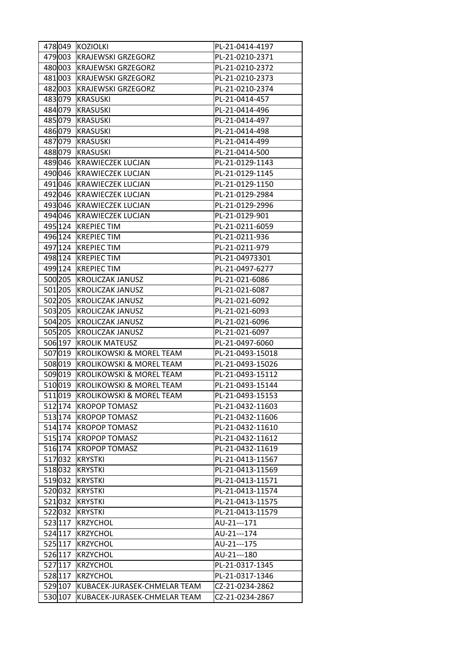| 478049  | KOZIOLKI                            | PL-21-0414-4197  |
|---------|-------------------------------------|------------------|
| 479003  | <b>KRAJEWSKI GRZEGORZ</b>           | PL-21-0210-2371  |
| 480 003 | <b>KRAJEWSKI GRZEGORZ</b>           | PL-21-0210-2372  |
| 481003  | <b>KRAJEWSKI GRZEGORZ</b>           | PL-21-0210-2373  |
| 482003  | <b>KRAJEWSKI GRZEGORZ</b>           | PL-21-0210-2374  |
| 483079  | <b>KRASUSKI</b>                     | PL-21-0414-457   |
| 484 079 | <b>KRASUSKI</b>                     | PL-21-0414-496   |
| 485079  | KRASUSKI                            | PL-21-0414-497   |
| 486079  | KRASUSKI                            | PL-21-0414-498   |
| 487 079 | <b>KRASUSKI</b>                     | PL-21-0414-499   |
| 488079  | <b>KRASUSKI</b>                     | PL-21-0414-500   |
| 489046  | <b>KRAWIECZEK LUCJAN</b>            | PL-21-0129-1143  |
| 490 046 | <b>KRAWIECZEK LUCJAN</b>            | PL-21-0129-1145  |
| 491046  | <b>KRAWIECZEK LUCJAN</b>            | PL-21-0129-1150  |
| 492046  | <b>KRAWIECZEK LUCJAN</b>            | PL-21-0129-2984  |
| 493046  | <b>KRAWIECZEK LUCJAN</b>            | PL-21-0129-2996  |
| 494 046 | <b>KRAWIECZEK LUCJAN</b>            | PL-21-0129-901   |
| 495 124 | <b>KREPIEC TIM</b>                  | PL-21-0211-6059  |
| 496 124 | <b>KREPIEC TIM</b>                  | PL-21-0211-936   |
| 497 124 | <b>KREPIEC TIM</b>                  | PL-21-0211-979   |
| 498 124 | <b>KREPIEC TIM</b>                  | PL-21-04973301   |
| 499 124 | <b>KREPIEC TIM</b>                  | PL-21-0497-6277  |
| 500 205 | <b>KROLICZAK JANUSZ</b>             | PL-21-021-6086   |
| 501 205 | <b>KROLICZAK JANUSZ</b>             | PL-21-021-6087   |
| 502 205 | <b>KROLICZAK JANUSZ</b>             | PL-21-021-6092   |
| 503 205 | <b>KROLICZAK JANUSZ</b>             | PL-21-021-6093   |
| 504 205 | <b>KROLICZAK JANUSZ</b>             | PL-21-021-6096   |
| 505 205 | <b>KROLICZAK JANUSZ</b>             | PL-21-021-6097   |
| 506 197 | <b>KROLIK MATEUSZ</b>               | PL-21-0497-6060  |
| 507019  | <b>KROLIKOWSKI &amp; MOREL TEAM</b> | PL-21-0493-15018 |
| 508019  | <b>KROLIKOWSKI &amp; MOREL TEAM</b> | PL-21-0493-15026 |
| 509019  | <b>KROLIKOWSKI &amp; MOREL TEAM</b> | PL-21-0493-15112 |
| 510019  | <b>KROLIKOWSKI &amp; MOREL TEAM</b> | PL-21-0493-15144 |
| 511019  | KROLIKOWSKI & MOREL TEAM            | PL-21-0493-15153 |
| 512 174 | <b>KROPOP TOMASZ</b>                | PL-21-0432-11603 |
| 513 174 | <b>KROPOP TOMASZ</b>                | PL-21-0432-11606 |
| 514 174 | <b>KROPOP TOMASZ</b>                | PL-21-0432-11610 |
| 515 174 | <b>KROPOP TOMASZ</b>                | PL-21-0432-11612 |
| 516 174 | <b>KROPOP TOMASZ</b>                | PL-21-0432-11619 |
| 517032  | <b>KRYSTKI</b>                      | PL-21-0413-11567 |
| 518032  | <b>KRYSTKI</b>                      | PL-21-0413-11569 |
| 519032  | <b>KRYSTKI</b>                      | PL-21-0413-11571 |
| 520032  | <b>KRYSTKI</b>                      | PL-21-0413-11574 |
| 521032  | <b>KRYSTKI</b>                      | PL-21-0413-11575 |
| 522032  | <b>KRYSTKI</b>                      | PL-21-0413-11579 |
| 523 117 | <b>KRZYCHOL</b>                     | AU-21---171      |
| 524 117 | <b>KRZYCHOL</b>                     | AU-21---174      |
| 525 117 | <b>KRZYCHOL</b>                     | AU-21---175      |
| 526 117 | <b>KRZYCHOL</b>                     | AU-21---180      |
| 527 117 | <b>KRZYCHOL</b>                     | PL-21-0317-1345  |
| 528 117 | <b>KRZYCHOL</b>                     | PL-21-0317-1346  |
| 529 107 | KUBACEK-JURASEK-CHMELAR TEAM        | CZ-21-0234-2862  |
| 530 107 | KUBACEK-JURASEK-CHMELAR TEAM        | CZ-21-0234-2867  |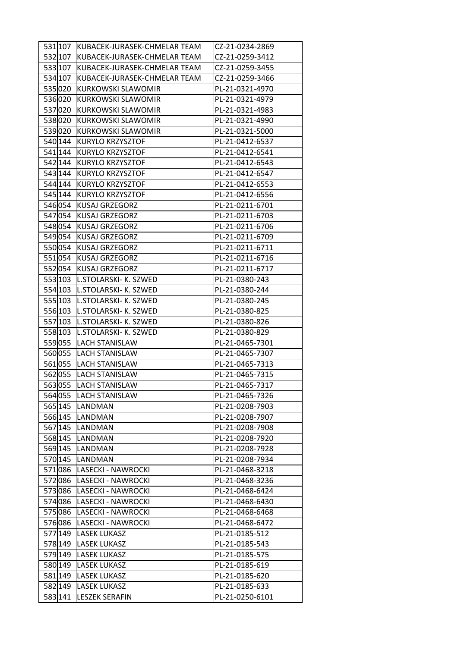| 531 107 | KUBACEK-JURASEK-CHMELAR TEAM      | CZ-21-0234-2869 |
|---------|-----------------------------------|-----------------|
| 532 107 | KUBACEK-JURASEK-CHMELAR TEAM      | CZ-21-0259-3412 |
| 533 107 | KUBACEK-JURASEK-CHMELAR TEAM      | CZ-21-0259-3455 |
| 534 107 | KUBACEK-JURASEK-CHMELAR TEAM      | CZ-21-0259-3466 |
| 535020  | KURKOWSKI SLAWOMIR                | PL-21-0321-4970 |
| 536020  | KURKOWSKI SLAWOMIR                | PL-21-0321-4979 |
| 537020  | KURKOWSKI SLAWOMIR                | PL-21-0321-4983 |
| 538020  | <b>KURKOWSKI SLAWOMIR</b>         | PL-21-0321-4990 |
| 539020  | KURKOWSKI SLAWOMIR                | PL-21-0321-5000 |
| 540 144 | <b>KURYLO KRZYSZTOF</b>           | PL-21-0412-6537 |
| 541 144 | <b>KURYLO KRZYSZTOF</b>           | PL-21-0412-6541 |
| 542 144 | <b>KURYLO KRZYSZTOF</b>           | PL-21-0412-6543 |
| 543 144 | <b>KURYLO KRZYSZTOF</b>           | PL-21-0412-6547 |
| 544 144 | <b>KURYLO KRZYSZTOF</b>           | PL-21-0412-6553 |
| 545 144 | <b>KURYLO KRZYSZTOF</b>           | PL-21-0412-6556 |
| 546 054 | KUSAJ GRZEGORZ                    | PL-21-0211-6701 |
| 547 054 | KUSAJ GRZEGORZ                    | PL-21-0211-6703 |
| 548 054 | <b>KUSAJ GRZEGORZ</b>             | PL-21-0211-6706 |
| 549 054 | <b>KUSAJ GRZEGORZ</b>             | PL-21-0211-6709 |
| 550054  | KUSAJ GRZEGORZ                    | PL-21-0211-6711 |
| 551054  | KUSAJ GRZEGORZ                    | PL-21-0211-6716 |
| 552054  | <b>KUSAJ GRZEGORZ</b>             | PL-21-0211-6717 |
|         | 553 103   L. STOLARSKI - K. SZWED | PL-21-0380-243  |
|         | 554 103   L. STOLARSKI - K. SZWED | PL-21-0380-244  |
|         | 555 103   L. STOLARSKI - K. SZWED | PL-21-0380-245  |
|         | 556 103   L. STOLARSKI - K. SZWED | PL-21-0380-825  |
|         | 557 103   L. STOLARSKI - K. SZWED | PL-21-0380-826  |
|         | 558 103   L.STOLARSKI- K. SZWED   | PL-21-0380-829  |
|         | 559055 LACH STANISLAW             | PL-21-0465-7301 |
|         | 560055 LACH STANISLAW             | PL-21-0465-7307 |
|         | 561055 LACH STANISLAW             | PL-21-0465-7313 |
|         | 562 055 LACH STANISLAW            | PL-21-0465-7315 |
|         | 563055 LACH STANISLAW             | PL-21-0465-7317 |
|         | 564 055 LACH STANISLAW            | PL-21-0465-7326 |
|         | 565 145 LANDMAN                   | PL-21-0208-7903 |
|         | 566 145 LANDMAN                   | PL-21-0208-7907 |
|         | 567 145 LANDMAN                   | PL-21-0208-7908 |
|         | 568 145 LANDMAN                   | PL-21-0208-7920 |
|         | 569 145 LANDMAN                   | PL-21-0208-7928 |
|         | 570 145   LANDMAN                 | PL-21-0208-7934 |
|         | 571 086  LASECKI - NAWROCKI       | PL-21-0468-3218 |
|         | 572086 LASECKI - NAWROCKI         | PL-21-0468-3236 |
|         |                                   | PL-21-0468-6424 |
|         | 573086 LASECKI - NAWROCKI         | PL-21-0468-6430 |
|         | 574086 LASECKI - NAWROCKI         |                 |
|         | 575086  LASECKI - NAWROCKI        | PL-21-0468-6468 |
|         | 576086 LASECKI - NAWROCKI         | PL-21-0468-6472 |
|         | 577 149 LASEK LUKASZ              | PL-21-0185-512  |
|         | 578149 LASEK LUKASZ               | PL-21-0185-543  |
|         | 579149 LASEK LUKASZ               | PL-21-0185-575  |
|         | 580 149 LASEK LUKASZ              | PL-21-0185-619  |
|         | 581 149 LASEK LUKASZ              | PL-21-0185-620  |
|         | 582 149 LASEK LUKASZ              | PL-21-0185-633  |
|         | 583141 LESZEK SERAFIN             | PL-21-0250-6101 |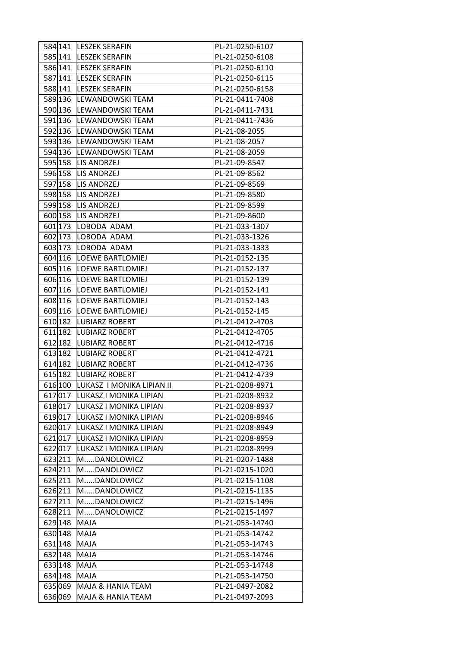|         | 584141 LESZEK SERAFIN            | PL-21-0250-6107 |
|---------|----------------------------------|-----------------|
|         | 585141 LESZEK SERAFIN            | PL-21-0250-6108 |
|         | 586141 LESZEK SERAFIN            | PL-21-0250-6110 |
|         | 587 141 LESZEK SERAFIN           | PL-21-0250-6115 |
|         | 588141 LESZEK SERAFIN            | PL-21-0250-6158 |
|         | 589 136 LEWANDOWSKI TEAM         | PL-21-0411-7408 |
|         | 590 136 LEWANDOWSKI TEAM         | PL-21-0411-7431 |
|         | 591 136  LEWANDOWSKI TEAM        | PL-21-0411-7436 |
|         | 592 136  LEWANDOWSKI TEAM        | PL-21-08-2055   |
|         | 593 136 LEWANDOWSKI TEAM         | PL-21-08-2057   |
|         | 594 136 LEWANDOWSKI TEAM         | PL-21-08-2059   |
|         | 595 158 LIS ANDRZEJ              | PL-21-09-8547   |
|         | 596 158   LIS ANDRZEJ            | PL-21-09-8562   |
| 597 158 | LIS ANDRZEJ                      | PL-21-09-8569   |
|         | 598 158   LIS ANDRZEJ            | PL-21-09-8580   |
|         | 599 158   LIS ANDRZEJ            | PL-21-09-8599   |
|         | 600 158 LIS ANDRZEJ              | PL-21-09-8600   |
|         | 601 173 LOBODA ADAM              | PL-21-033-1307  |
| 602 173 | LOBODA ADAM                      | PL-21-033-1326  |
|         | 603 173 LOBODA ADAM              | PL-21-033-1333  |
|         | 604 116 LOEWE BARTLOMIEJ         | PL-21-0152-135  |
|         | 605 116 LOEWE BARTLOMIEJ         | PL-21-0152-137  |
|         | 606 116 LOEWE BARTLOMIEJ         | PL-21-0152-139  |
|         | 607 116 LOEWE BARTLOMIEJ         | PL-21-0152-141  |
|         | 608 116 LOEWE BARTLOMIEJ         | PL-21-0152-143  |
|         | 609 116   LOEWE BARTLOMIEJ       | PL-21-0152-145  |
|         | 610 182 LUBIARZ ROBERT           | PL-21-0412-4703 |
|         | 611 182 LUBIARZ ROBERT           | PL-21-0412-4705 |
|         | 612 182 LUBIARZ ROBERT           | PL-21-0412-4716 |
|         | 613 182 LUBIARZ ROBERT           | PL-21-0412-4721 |
|         | 614 182 LUBIARZ ROBERT           | PL-21-0412-4736 |
| 615 182 | <b>LUBIARZ ROBERT</b>            | PL-21-0412-4739 |
|         | 616100 LUKASZ I MONIKA LIPIAN II | PL-21-0208-8971 |
|         | 617 017  LUKASZ I MONIKA LIPIAN  | PL-21-0208-8932 |
|         | 618017 LUKASZ I MONIKA LIPIAN    | PL-21-0208-8937 |
|         | 619017 LUKASZ I MONIKA LIPIAN    | PL-21-0208-8946 |
| 620017  | LUKASZ I MONIKA LIPIAN           | PL-21-0208-8949 |
|         | 621017 LUKASZ I MONIKA LIPIAN    | PL-21-0208-8959 |
|         | 622017 LUKASZ I MONIKA LIPIAN    | PL-21-0208-8999 |
| 623 211 | MDANOLOWICZ                      | PL-21-0207-1488 |
| 624 211 | MDANOLOWICZ                      | PL-21-0215-1020 |
| 625 211 | MDANOLOWICZ                      | PL-21-0215-1108 |
| 626 211 | MDANOLOWICZ                      | PL-21-0215-1135 |
| 627211  | MDANOLOWICZ                      | PL-21-0215-1496 |
| 628 211 | MDANOLOWICZ                      | PL-21-0215-1497 |
| 629 148 | MAJA                             | PL-21-053-14740 |
| 630 148 | <b>MAJA</b>                      | PL-21-053-14742 |
| 631 148 | <b>MAJA</b>                      | PL-21-053-14743 |
| 632 148 | <b>MAJA</b>                      | PL-21-053-14746 |
| 633 148 | MAJA                             | PL-21-053-14748 |
| 634 148 | <b>MAJA</b>                      | PL-21-053-14750 |
|         | 635069 MAJA & HANIA TEAM         | PL-21-0497-2082 |
| 636069  | <b>MAJA &amp; HANIA TEAM</b>     | PL-21-0497-2093 |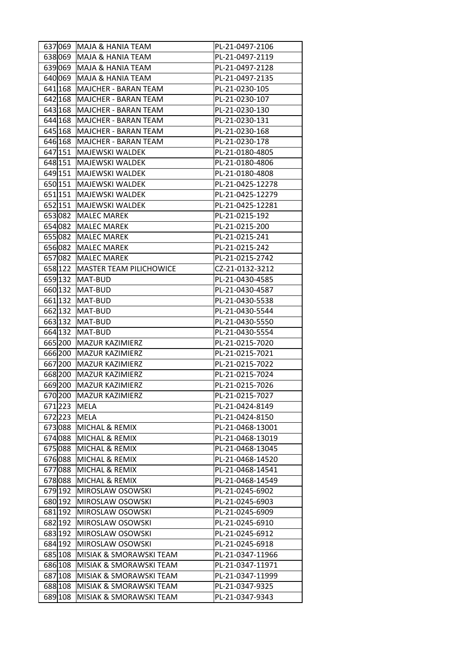| 637069  |         | MAJA & HANIA TEAM                  | PL-21-0497-2106  |
|---------|---------|------------------------------------|------------------|
| 638069  |         | MAJA & HANIA TEAM                  | PL-21-0497-2119  |
| 639 069 |         | MAJA & HANIA TEAM                  | PL-21-0497-2128  |
| 640 069 |         | <b>MAJA &amp; HANIA TEAM</b>       | PL-21-0497-2135  |
| 641 168 |         | MAJCHER - BARAN TEAM               | PL-21-0230-105   |
| 642 168 |         | <b>MAJCHER - BARAN TEAM</b>        | PL-21-0230-107   |
| 643 168 |         | MAJCHER - BARAN TEAM               | PL-21-0230-130   |
| 644 168 |         | <b>MAJCHER - BARAN TEAM</b>        | PL-21-0230-131   |
| 645 168 |         | <b>MAJCHER - BARAN TEAM</b>        | PL-21-0230-168   |
| 646 168 |         | MAJCHER - BARAN TEAM               | PL-21-0230-178   |
| 647 151 |         | MAJEWSKI WALDEK                    | PL-21-0180-4805  |
| 648 151 |         | MAJEWSKI WALDEK                    | PL-21-0180-4806  |
|         | 649 151 | MAJEWSKI WALDEK                    | PL-21-0180-4808  |
| 650 151 |         | MAJEWSKI WALDEK                    | PL-21-0425-12278 |
| 651 151 |         | MAJEWSKI WALDEK                    | PL-21-0425-12279 |
|         | 652 151 | MAJEWSKI WALDEK                    | PL-21-0425-12281 |
| 653082  |         | <b>MALEC MAREK</b>                 | PL-21-0215-192   |
| 654082  |         | <b>MALEC MAREK</b>                 | PL-21-0215-200   |
| 655082  |         | MALEC MAREK                        | PL-21-0215-241   |
| 656082  |         | <b>MALEC MAREK</b>                 | PL-21-0215-242   |
| 657082  |         | MALEC MAREK                        |                  |
|         |         |                                    | PL-21-0215-2742  |
| 658 122 |         | <b>MASTER TEAM PILICHOWICE</b>     | CZ-21-0132-3212  |
|         | 659 132 | MAT-BUD                            | PL-21-0430-4585  |
| 660 132 |         | MAT-BUD                            | PL-21-0430-4587  |
| 661 132 |         | MAT-BUD                            | PL-21-0430-5538  |
|         | 662 132 | MAT-BUD                            | PL-21-0430-5544  |
| 663 132 |         | MAT-BUD                            | PL-21-0430-5550  |
| 664 132 |         | MAT-BUD                            | PL-21-0430-5554  |
| 665 200 |         | MAZUR KAZIMIERZ                    | PL-21-0215-7020  |
| 666 200 |         | MAZUR KAZIMIERZ                    | PL-21-0215-7021  |
| 667 200 |         | MAZUR KAZIMIERZ                    | PL-21-0215-7022  |
|         | 668 200 | <b>MAZUR KAZIMIERZ</b>             | PL-21-0215-7024  |
|         |         | 669 200 MAZUR KAZIMIERZ            | PL-21-0215-7026  |
| 670 200 |         | MAZUR KAZIMIERZ                    | PL-21-0215-7027  |
| 671 223 |         | MELA                               | PL-21-0424-8149  |
| 672223  |         | <b>MELA</b>                        | PL-21-0424-8150  |
| 673088  |         | MICHAL & REMIX                     | PL-21-0468-13001 |
| 674088  |         | MICHAL & REMIX                     | PL-21-0468-13019 |
| 675088  |         | MICHAL & REMIX                     | PL-21-0468-13045 |
| 676088  |         | MICHAL & REMIX                     | PL-21-0468-14520 |
| 677088  |         | <b>MICHAL &amp; REMIX</b>          | PL-21-0468-14541 |
| 678088  |         | MICHAL & REMIX                     | PL-21-0468-14549 |
| 679 192 |         | MIROSLAW OSOWSKI                   | PL-21-0245-6902  |
| 680 192 |         | MIROSLAW OSOWSKI                   | PL-21-0245-6903  |
| 681 192 |         | MIROSLAW OSOWSKI                   | PL-21-0245-6909  |
|         | 682 192 | <b>MIROSLAW OSOWSKI</b>            | PL-21-0245-6910  |
| 683 192 |         | MIROSLAW OSOWSKI                   | PL-21-0245-6912  |
| 684 192 |         | MIROSLAW OSOWSKI                   | PL-21-0245-6918  |
| 685 108 |         | MISIAK & SMORAWSKI TEAM            | PL-21-0347-11966 |
| 686 108 |         | MISIAK & SMORAWSKI TEAM            | PL-21-0347-11971 |
| 687 108 |         | MISIAK & SMORAWSKI TEAM            | PL-21-0347-11999 |
| 688 108 |         | <b>MISIAK &amp; SMORAWSKI TEAM</b> | PL-21-0347-9325  |
| 689 108 |         | MISIAK & SMORAWSKI TEAM            | PL-21-0347-9343  |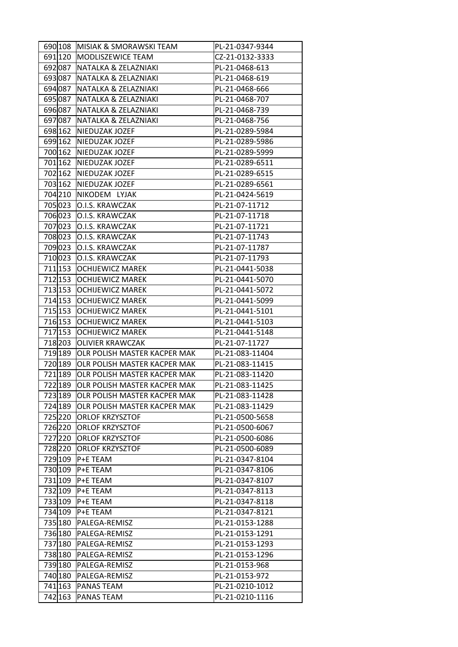|         | 690 108 MISIAK & SMORAWSKI TEAM     | PL-21-0347-9344 |
|---------|-------------------------------------|-----------------|
| 691 120 | MODLISZEWICE TEAM                   | CZ-21-0132-3333 |
|         | 692087 NATALKA & ZELAZNIAKI         | PL-21-0468-613  |
| 693 087 | NATALKA & ZELAZNIAKI                | PL-21-0468-619  |
| 694 087 | NATALKA & ZELAZNIAKI                | PL-21-0468-666  |
| 695 087 | NATALKA & ZELAZNIAKI                | PL-21-0468-707  |
| 696087  | NATALKA & ZELAZNIAKI                | PL-21-0468-739  |
| 697 087 | NATALKA & ZELAZNIAKI                | PL-21-0468-756  |
| 698 162 | NIEDUZAK JOZEF                      | PL-21-0289-5984 |
| 699 162 | NIEDUZAK JOZEF                      | PL-21-0289-5986 |
|         | 700 162 NIEDUZAK JOZEF              | PL-21-0289-5999 |
| 701 162 | NIEDUZAK JOZEF                      | PL-21-0289-6511 |
|         | 702 162 NIEDUZAK JOZEF              | PL-21-0289-6515 |
| 703 162 | NIEDUZAK JOZEF                      | PL-21-0289-6561 |
| 704210  | NIKODEM LYJAK                       | PL-21-0424-5619 |
| 705023  | O.I.S. KRAWCZAK                     | PL-21-07-11712  |
| 706023  | O.I.S. KRAWCZAK                     | PL-21-07-11718  |
| 707023  | O.I.S. KRAWCZAK                     | PL-21-07-11721  |
| 708023  | O.I.S. KRAWCZAK                     | PL-21-07-11743  |
| 709023  | O.I.S. KRAWCZAK                     | PL-21-07-11787  |
| 710023  | O.I.S. KRAWCZAK                     | PL-21-07-11793  |
| 711 153 | <b>OCHIJEWICZ MAREK</b>             | PL-21-0441-5038 |
| 712 153 | <b>OCHIJEWICZ MAREK</b>             | PL-21-0441-5070 |
| 713 153 | <b>OCHIJEWICZ MAREK</b>             | PL-21-0441-5072 |
| 714 153 | <b>OCHIJEWICZ MAREK</b>             | PL-21-0441-5099 |
| 715 153 | OCHIJEWICZ MAREK                    | PL-21-0441-5101 |
| 716 153 | <b>OCHIJEWICZ MAREK</b>             | PL-21-0441-5103 |
| 717 153 | <b>OCHIJEWICZ MAREK</b>             | PL-21-0441-5148 |
| 718 203 | <b>OLIVIER KRAWCZAK</b>             | PL-21-07-11727  |
| 719 189 | OLR POLISH MASTER KACPER MAK        | PL-21-083-11404 |
| 720 189 | OLR POLISH MASTER KACPER MAK        | PL-21-083-11415 |
| 721 189 | OLR POLISH MASTER KACPER MAK        | PL-21-083-11420 |
| 722 189 | OLR POLISH MASTER KACPER MAK        | PL-21-083-11425 |
| 723 189 | <b>OLR POLISH MASTER KACPER MAK</b> | PL-21-083-11428 |
| 724 189 | OLR POLISH MASTER KACPER MAK        | PL-21-083-11429 |
| 725 220 | <b>ORLOF KRZYSZTOF</b>              | PL-21-0500-5658 |
| 726220  | <b>ORLOF KRZYSZTOF</b>              | PL-21-0500-6067 |
| 727220  | <b>ORLOF KRZYSZTOF</b>              | PL-21-0500-6086 |
| 728 220 | <b>ORLOF KRZYSZTOF</b>              | PL-21-0500-6089 |
| 729 109 | <b>P+E TEAM</b>                     | PL-21-0347-8104 |
| 730 109 | <b>P+E TEAM</b>                     | PL-21-0347-8106 |
|         | 731 109 P+E TEAM                    | PL-21-0347-8107 |
| 732 109 | <b>P+E TEAM</b>                     | PL-21-0347-8113 |
| 733 109 | P+E TEAM                            | PL-21-0347-8118 |
|         | 734 109 P+E TEAM                    | PL-21-0347-8121 |
| 735 180 | <b>PALEGA-REMISZ</b>                | PL-21-0153-1288 |
| 736 180 | PALEGA-REMISZ                       | PL-21-0153-1291 |
| 737 180 | PALEGA-REMISZ                       | PL-21-0153-1293 |
| 738 180 | PALEGA-REMISZ                       | PL-21-0153-1296 |
| 739 180 | PALEGA-REMISZ                       | PL-21-0153-968  |
| 740 180 | PALEGA-REMISZ                       | PL-21-0153-972  |
| 741 163 | <b>PANAS TEAM</b>                   | PL-21-0210-1012 |
| 742 163 | <b>PANAS TEAM</b>                   | PL-21-0210-1116 |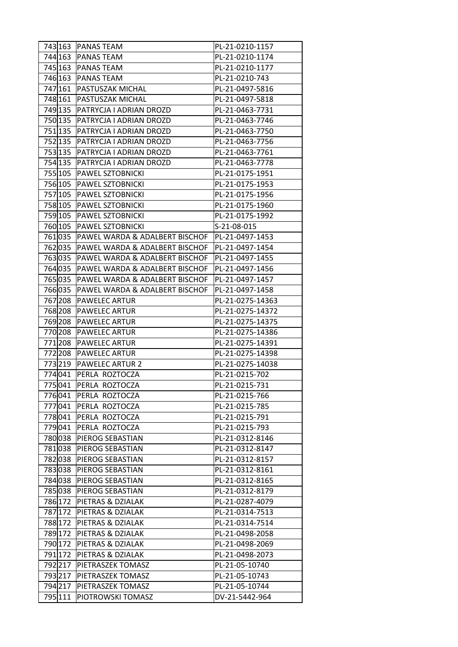| 744 163<br><b>PANAS TEAM</b><br>PL-21-0210-1174<br>745 163<br><b>PANAS TEAM</b><br>PL-21-0210-1177<br>746 163<br><b>PANAS TEAM</b><br>PL-21-0210-743<br>747 161<br><b>PASTUSZAK MICHAL</b><br>PL-21-0497-5816<br>748 161<br><b>PASTUSZAK MICHAL</b><br>PL-21-0497-5818<br>749 135<br><b>PATRYCJA I ADRIAN DROZD</b><br>PL-21-0463-7731<br>750 135<br><b>PATRYCJA I ADRIAN DROZD</b><br>PL-21-0463-7746<br>751 135<br><b>PATRYCJA I ADRIAN DROZD</b><br>PL-21-0463-7750<br>752 135<br>PATRYCJA I ADRIAN DROZD<br>PL-21-0463-7756<br>753 135<br><b>PATRYCJA I ADRIAN DROZD</b><br>PL-21-0463-7761<br>754 135<br><b>PATRYCJA I ADRIAN DROZD</b><br>PL-21-0463-7778<br>755 105<br><b>PAWEL SZTOBNICKI</b><br>PL-21-0175-1951<br>756 105<br><b>PAWEL SZTOBNICKI</b><br>PL-21-0175-1953<br>757 105<br><b>PAWEL SZTOBNICKI</b><br>PL-21-0175-1956<br>758 105 PAWEL SZTOBNICKI<br>PL-21-0175-1960<br><b>PAWEL SZTOBNICKI</b><br>PL-21-0175-1992<br>759 105<br>760 105 PAWEL SZTOBNICKI<br>S-21-08-015<br>761 035<br><b>PAWEL WARDA &amp; ADALBERT BISCHOF</b><br>PL-21-0497-1453<br>762 035<br><b>PAWEL WARDA &amp; ADALBERT BISCHOF</b><br>PL-21-0497-1454<br>763035<br><b>PAWEL WARDA &amp; ADALBERT BISCHOF</b><br>PL-21-0497-1455<br>764 035<br><b>PAWEL WARDA &amp; ADALBERT BISCHOF</b><br>PL-21-0497-1456<br>765035<br>PAWEL WARDA & ADALBERT BISCHOF<br>PL-21-0497-1457<br>766035<br><b>PAWEL WARDA &amp; ADALBERT BISCHOF</b><br>PL-21-0497-1458<br>767 208<br><b>PAWELEC ARTUR</b><br>PL-21-0275-14363<br>768 208<br><b>PAWELEC ARTUR</b><br>PL-21-0275-14372<br>769 208<br><b>PAWELEC ARTUR</b><br>PL-21-0275-14375<br>770 208<br><b>PAWELEC ARTUR</b><br>PL-21-0275-14386<br>771 208<br><b>PAWELEC ARTUR</b><br>PL-21-0275-14391<br>772 208<br><b>PAWELEC ARTUR</b><br>PL-21-0275-14398<br>773 219<br><b>PAWELEC ARTUR 2</b><br>PL-21-0275-14038<br>774041<br>PERLA ROZTOCZA<br>PL-21-0215-702<br>775041<br>PERLA ROZTOCZA<br>PL-21-0215-731<br>776041<br>PL-21-0215-766<br>PERLA ROZTOCZA<br>777041<br>PERLA ROZTOCZA<br>PL-21-0215-785<br>778 041<br>PERLA ROZTOCZA<br>PL-21-0215-791<br>779041<br>PERLA ROZTOCZA<br>PL-21-0215-793<br>780038<br><b>PIEROG SEBASTIAN</b><br>PL-21-0312-8146<br>781038<br><b>PIEROG SEBASTIAN</b><br>PL-21-0312-8147<br>782 038<br>PIEROG SEBASTIAN<br>PL-21-0312-8157<br>783038<br><b>PIEROG SEBASTIAN</b><br>PL-21-0312-8161<br>784038<br><b>PIEROG SEBASTIAN</b><br>PL-21-0312-8165<br>785038<br><b>PIEROG SEBASTIAN</b><br>PL-21-0312-8179<br>786 172<br>PIETRAS & DZIALAK<br>PL-21-0287-4079<br>787 172 PIETRAS & DZIALAK<br>PL-21-0314-7513<br>788 172 PIETRAS & DZIALAK<br>PL-21-0314-7514<br>789 172<br><b>PIETRAS &amp; DZIALAK</b><br>PL-21-0498-2058<br>790 172 PIETRAS & DZIALAK<br>PL-21-0498-2069<br>791 172<br>PIETRAS & DZIALAK<br>PL-21-0498-2073<br>792217<br><b>PIETRASZEK TOMASZ</b><br>PL-21-05-10740<br>793217<br><b>PIETRASZEK TOMASZ</b><br>PL-21-05-10743 | 794217<br><b>PIETRASZEK TOMASZ</b><br>PL-21-05-10744 | 743 163 | <b>PANAS TEAM</b> | PL-21-0210-1157 |
|-------------------------------------------------------------------------------------------------------------------------------------------------------------------------------------------------------------------------------------------------------------------------------------------------------------------------------------------------------------------------------------------------------------------------------------------------------------------------------------------------------------------------------------------------------------------------------------------------------------------------------------------------------------------------------------------------------------------------------------------------------------------------------------------------------------------------------------------------------------------------------------------------------------------------------------------------------------------------------------------------------------------------------------------------------------------------------------------------------------------------------------------------------------------------------------------------------------------------------------------------------------------------------------------------------------------------------------------------------------------------------------------------------------------------------------------------------------------------------------------------------------------------------------------------------------------------------------------------------------------------------------------------------------------------------------------------------------------------------------------------------------------------------------------------------------------------------------------------------------------------------------------------------------------------------------------------------------------------------------------------------------------------------------------------------------------------------------------------------------------------------------------------------------------------------------------------------------------------------------------------------------------------------------------------------------------------------------------------------------------------------------------------------------------------------------------------------------------------------------------------------------------------------------------------------------------------------------------------------------------------------------------------------------------------------------------------------------------------------------------------------------------------------------------------------------------------------------------------------------------------------------------------------------------------|------------------------------------------------------|---------|-------------------|-----------------|
|                                                                                                                                                                                                                                                                                                                                                                                                                                                                                                                                                                                                                                                                                                                                                                                                                                                                                                                                                                                                                                                                                                                                                                                                                                                                                                                                                                                                                                                                                                                                                                                                                                                                                                                                                                                                                                                                                                                                                                                                                                                                                                                                                                                                                                                                                                                                                                                                                                                                                                                                                                                                                                                                                                                                                                                                                                                                                                                         |                                                      |         |                   |                 |
|                                                                                                                                                                                                                                                                                                                                                                                                                                                                                                                                                                                                                                                                                                                                                                                                                                                                                                                                                                                                                                                                                                                                                                                                                                                                                                                                                                                                                                                                                                                                                                                                                                                                                                                                                                                                                                                                                                                                                                                                                                                                                                                                                                                                                                                                                                                                                                                                                                                                                                                                                                                                                                                                                                                                                                                                                                                                                                                         |                                                      |         |                   |                 |
|                                                                                                                                                                                                                                                                                                                                                                                                                                                                                                                                                                                                                                                                                                                                                                                                                                                                                                                                                                                                                                                                                                                                                                                                                                                                                                                                                                                                                                                                                                                                                                                                                                                                                                                                                                                                                                                                                                                                                                                                                                                                                                                                                                                                                                                                                                                                                                                                                                                                                                                                                                                                                                                                                                                                                                                                                                                                                                                         |                                                      |         |                   |                 |
|                                                                                                                                                                                                                                                                                                                                                                                                                                                                                                                                                                                                                                                                                                                                                                                                                                                                                                                                                                                                                                                                                                                                                                                                                                                                                                                                                                                                                                                                                                                                                                                                                                                                                                                                                                                                                                                                                                                                                                                                                                                                                                                                                                                                                                                                                                                                                                                                                                                                                                                                                                                                                                                                                                                                                                                                                                                                                                                         |                                                      |         |                   |                 |
|                                                                                                                                                                                                                                                                                                                                                                                                                                                                                                                                                                                                                                                                                                                                                                                                                                                                                                                                                                                                                                                                                                                                                                                                                                                                                                                                                                                                                                                                                                                                                                                                                                                                                                                                                                                                                                                                                                                                                                                                                                                                                                                                                                                                                                                                                                                                                                                                                                                                                                                                                                                                                                                                                                                                                                                                                                                                                                                         |                                                      |         |                   |                 |
|                                                                                                                                                                                                                                                                                                                                                                                                                                                                                                                                                                                                                                                                                                                                                                                                                                                                                                                                                                                                                                                                                                                                                                                                                                                                                                                                                                                                                                                                                                                                                                                                                                                                                                                                                                                                                                                                                                                                                                                                                                                                                                                                                                                                                                                                                                                                                                                                                                                                                                                                                                                                                                                                                                                                                                                                                                                                                                                         |                                                      |         |                   |                 |
|                                                                                                                                                                                                                                                                                                                                                                                                                                                                                                                                                                                                                                                                                                                                                                                                                                                                                                                                                                                                                                                                                                                                                                                                                                                                                                                                                                                                                                                                                                                                                                                                                                                                                                                                                                                                                                                                                                                                                                                                                                                                                                                                                                                                                                                                                                                                                                                                                                                                                                                                                                                                                                                                                                                                                                                                                                                                                                                         |                                                      |         |                   |                 |
|                                                                                                                                                                                                                                                                                                                                                                                                                                                                                                                                                                                                                                                                                                                                                                                                                                                                                                                                                                                                                                                                                                                                                                                                                                                                                                                                                                                                                                                                                                                                                                                                                                                                                                                                                                                                                                                                                                                                                                                                                                                                                                                                                                                                                                                                                                                                                                                                                                                                                                                                                                                                                                                                                                                                                                                                                                                                                                                         |                                                      |         |                   |                 |
|                                                                                                                                                                                                                                                                                                                                                                                                                                                                                                                                                                                                                                                                                                                                                                                                                                                                                                                                                                                                                                                                                                                                                                                                                                                                                                                                                                                                                                                                                                                                                                                                                                                                                                                                                                                                                                                                                                                                                                                                                                                                                                                                                                                                                                                                                                                                                                                                                                                                                                                                                                                                                                                                                                                                                                                                                                                                                                                         |                                                      |         |                   |                 |
|                                                                                                                                                                                                                                                                                                                                                                                                                                                                                                                                                                                                                                                                                                                                                                                                                                                                                                                                                                                                                                                                                                                                                                                                                                                                                                                                                                                                                                                                                                                                                                                                                                                                                                                                                                                                                                                                                                                                                                                                                                                                                                                                                                                                                                                                                                                                                                                                                                                                                                                                                                                                                                                                                                                                                                                                                                                                                                                         |                                                      |         |                   |                 |
|                                                                                                                                                                                                                                                                                                                                                                                                                                                                                                                                                                                                                                                                                                                                                                                                                                                                                                                                                                                                                                                                                                                                                                                                                                                                                                                                                                                                                                                                                                                                                                                                                                                                                                                                                                                                                                                                                                                                                                                                                                                                                                                                                                                                                                                                                                                                                                                                                                                                                                                                                                                                                                                                                                                                                                                                                                                                                                                         |                                                      |         |                   |                 |
|                                                                                                                                                                                                                                                                                                                                                                                                                                                                                                                                                                                                                                                                                                                                                                                                                                                                                                                                                                                                                                                                                                                                                                                                                                                                                                                                                                                                                                                                                                                                                                                                                                                                                                                                                                                                                                                                                                                                                                                                                                                                                                                                                                                                                                                                                                                                                                                                                                                                                                                                                                                                                                                                                                                                                                                                                                                                                                                         |                                                      |         |                   |                 |
|                                                                                                                                                                                                                                                                                                                                                                                                                                                                                                                                                                                                                                                                                                                                                                                                                                                                                                                                                                                                                                                                                                                                                                                                                                                                                                                                                                                                                                                                                                                                                                                                                                                                                                                                                                                                                                                                                                                                                                                                                                                                                                                                                                                                                                                                                                                                                                                                                                                                                                                                                                                                                                                                                                                                                                                                                                                                                                                         |                                                      |         |                   |                 |
|                                                                                                                                                                                                                                                                                                                                                                                                                                                                                                                                                                                                                                                                                                                                                                                                                                                                                                                                                                                                                                                                                                                                                                                                                                                                                                                                                                                                                                                                                                                                                                                                                                                                                                                                                                                                                                                                                                                                                                                                                                                                                                                                                                                                                                                                                                                                                                                                                                                                                                                                                                                                                                                                                                                                                                                                                                                                                                                         |                                                      |         |                   |                 |
|                                                                                                                                                                                                                                                                                                                                                                                                                                                                                                                                                                                                                                                                                                                                                                                                                                                                                                                                                                                                                                                                                                                                                                                                                                                                                                                                                                                                                                                                                                                                                                                                                                                                                                                                                                                                                                                                                                                                                                                                                                                                                                                                                                                                                                                                                                                                                                                                                                                                                                                                                                                                                                                                                                                                                                                                                                                                                                                         |                                                      |         |                   |                 |
|                                                                                                                                                                                                                                                                                                                                                                                                                                                                                                                                                                                                                                                                                                                                                                                                                                                                                                                                                                                                                                                                                                                                                                                                                                                                                                                                                                                                                                                                                                                                                                                                                                                                                                                                                                                                                                                                                                                                                                                                                                                                                                                                                                                                                                                                                                                                                                                                                                                                                                                                                                                                                                                                                                                                                                                                                                                                                                                         |                                                      |         |                   |                 |
|                                                                                                                                                                                                                                                                                                                                                                                                                                                                                                                                                                                                                                                                                                                                                                                                                                                                                                                                                                                                                                                                                                                                                                                                                                                                                                                                                                                                                                                                                                                                                                                                                                                                                                                                                                                                                                                                                                                                                                                                                                                                                                                                                                                                                                                                                                                                                                                                                                                                                                                                                                                                                                                                                                                                                                                                                                                                                                                         |                                                      |         |                   |                 |
|                                                                                                                                                                                                                                                                                                                                                                                                                                                                                                                                                                                                                                                                                                                                                                                                                                                                                                                                                                                                                                                                                                                                                                                                                                                                                                                                                                                                                                                                                                                                                                                                                                                                                                                                                                                                                                                                                                                                                                                                                                                                                                                                                                                                                                                                                                                                                                                                                                                                                                                                                                                                                                                                                                                                                                                                                                                                                                                         |                                                      |         |                   |                 |
|                                                                                                                                                                                                                                                                                                                                                                                                                                                                                                                                                                                                                                                                                                                                                                                                                                                                                                                                                                                                                                                                                                                                                                                                                                                                                                                                                                                                                                                                                                                                                                                                                                                                                                                                                                                                                                                                                                                                                                                                                                                                                                                                                                                                                                                                                                                                                                                                                                                                                                                                                                                                                                                                                                                                                                                                                                                                                                                         |                                                      |         |                   |                 |
|                                                                                                                                                                                                                                                                                                                                                                                                                                                                                                                                                                                                                                                                                                                                                                                                                                                                                                                                                                                                                                                                                                                                                                                                                                                                                                                                                                                                                                                                                                                                                                                                                                                                                                                                                                                                                                                                                                                                                                                                                                                                                                                                                                                                                                                                                                                                                                                                                                                                                                                                                                                                                                                                                                                                                                                                                                                                                                                         |                                                      |         |                   |                 |
|                                                                                                                                                                                                                                                                                                                                                                                                                                                                                                                                                                                                                                                                                                                                                                                                                                                                                                                                                                                                                                                                                                                                                                                                                                                                                                                                                                                                                                                                                                                                                                                                                                                                                                                                                                                                                                                                                                                                                                                                                                                                                                                                                                                                                                                                                                                                                                                                                                                                                                                                                                                                                                                                                                                                                                                                                                                                                                                         |                                                      |         |                   |                 |
|                                                                                                                                                                                                                                                                                                                                                                                                                                                                                                                                                                                                                                                                                                                                                                                                                                                                                                                                                                                                                                                                                                                                                                                                                                                                                                                                                                                                                                                                                                                                                                                                                                                                                                                                                                                                                                                                                                                                                                                                                                                                                                                                                                                                                                                                                                                                                                                                                                                                                                                                                                                                                                                                                                                                                                                                                                                                                                                         |                                                      |         |                   |                 |
|                                                                                                                                                                                                                                                                                                                                                                                                                                                                                                                                                                                                                                                                                                                                                                                                                                                                                                                                                                                                                                                                                                                                                                                                                                                                                                                                                                                                                                                                                                                                                                                                                                                                                                                                                                                                                                                                                                                                                                                                                                                                                                                                                                                                                                                                                                                                                                                                                                                                                                                                                                                                                                                                                                                                                                                                                                                                                                                         |                                                      |         |                   |                 |
|                                                                                                                                                                                                                                                                                                                                                                                                                                                                                                                                                                                                                                                                                                                                                                                                                                                                                                                                                                                                                                                                                                                                                                                                                                                                                                                                                                                                                                                                                                                                                                                                                                                                                                                                                                                                                                                                                                                                                                                                                                                                                                                                                                                                                                                                                                                                                                                                                                                                                                                                                                                                                                                                                                                                                                                                                                                                                                                         |                                                      |         |                   |                 |
|                                                                                                                                                                                                                                                                                                                                                                                                                                                                                                                                                                                                                                                                                                                                                                                                                                                                                                                                                                                                                                                                                                                                                                                                                                                                                                                                                                                                                                                                                                                                                                                                                                                                                                                                                                                                                                                                                                                                                                                                                                                                                                                                                                                                                                                                                                                                                                                                                                                                                                                                                                                                                                                                                                                                                                                                                                                                                                                         |                                                      |         |                   |                 |
|                                                                                                                                                                                                                                                                                                                                                                                                                                                                                                                                                                                                                                                                                                                                                                                                                                                                                                                                                                                                                                                                                                                                                                                                                                                                                                                                                                                                                                                                                                                                                                                                                                                                                                                                                                                                                                                                                                                                                                                                                                                                                                                                                                                                                                                                                                                                                                                                                                                                                                                                                                                                                                                                                                                                                                                                                                                                                                                         |                                                      |         |                   |                 |
|                                                                                                                                                                                                                                                                                                                                                                                                                                                                                                                                                                                                                                                                                                                                                                                                                                                                                                                                                                                                                                                                                                                                                                                                                                                                                                                                                                                                                                                                                                                                                                                                                                                                                                                                                                                                                                                                                                                                                                                                                                                                                                                                                                                                                                                                                                                                                                                                                                                                                                                                                                                                                                                                                                                                                                                                                                                                                                                         |                                                      |         |                   |                 |
|                                                                                                                                                                                                                                                                                                                                                                                                                                                                                                                                                                                                                                                                                                                                                                                                                                                                                                                                                                                                                                                                                                                                                                                                                                                                                                                                                                                                                                                                                                                                                                                                                                                                                                                                                                                                                                                                                                                                                                                                                                                                                                                                                                                                                                                                                                                                                                                                                                                                                                                                                                                                                                                                                                                                                                                                                                                                                                                         |                                                      |         |                   |                 |
|                                                                                                                                                                                                                                                                                                                                                                                                                                                                                                                                                                                                                                                                                                                                                                                                                                                                                                                                                                                                                                                                                                                                                                                                                                                                                                                                                                                                                                                                                                                                                                                                                                                                                                                                                                                                                                                                                                                                                                                                                                                                                                                                                                                                                                                                                                                                                                                                                                                                                                                                                                                                                                                                                                                                                                                                                                                                                                                         |                                                      |         |                   |                 |
|                                                                                                                                                                                                                                                                                                                                                                                                                                                                                                                                                                                                                                                                                                                                                                                                                                                                                                                                                                                                                                                                                                                                                                                                                                                                                                                                                                                                                                                                                                                                                                                                                                                                                                                                                                                                                                                                                                                                                                                                                                                                                                                                                                                                                                                                                                                                                                                                                                                                                                                                                                                                                                                                                                                                                                                                                                                                                                                         |                                                      |         |                   |                 |
|                                                                                                                                                                                                                                                                                                                                                                                                                                                                                                                                                                                                                                                                                                                                                                                                                                                                                                                                                                                                                                                                                                                                                                                                                                                                                                                                                                                                                                                                                                                                                                                                                                                                                                                                                                                                                                                                                                                                                                                                                                                                                                                                                                                                                                                                                                                                                                                                                                                                                                                                                                                                                                                                                                                                                                                                                                                                                                                         |                                                      |         |                   |                 |
|                                                                                                                                                                                                                                                                                                                                                                                                                                                                                                                                                                                                                                                                                                                                                                                                                                                                                                                                                                                                                                                                                                                                                                                                                                                                                                                                                                                                                                                                                                                                                                                                                                                                                                                                                                                                                                                                                                                                                                                                                                                                                                                                                                                                                                                                                                                                                                                                                                                                                                                                                                                                                                                                                                                                                                                                                                                                                                                         |                                                      |         |                   |                 |
|                                                                                                                                                                                                                                                                                                                                                                                                                                                                                                                                                                                                                                                                                                                                                                                                                                                                                                                                                                                                                                                                                                                                                                                                                                                                                                                                                                                                                                                                                                                                                                                                                                                                                                                                                                                                                                                                                                                                                                                                                                                                                                                                                                                                                                                                                                                                                                                                                                                                                                                                                                                                                                                                                                                                                                                                                                                                                                                         |                                                      |         |                   |                 |
|                                                                                                                                                                                                                                                                                                                                                                                                                                                                                                                                                                                                                                                                                                                                                                                                                                                                                                                                                                                                                                                                                                                                                                                                                                                                                                                                                                                                                                                                                                                                                                                                                                                                                                                                                                                                                                                                                                                                                                                                                                                                                                                                                                                                                                                                                                                                                                                                                                                                                                                                                                                                                                                                                                                                                                                                                                                                                                                         |                                                      |         |                   |                 |
|                                                                                                                                                                                                                                                                                                                                                                                                                                                                                                                                                                                                                                                                                                                                                                                                                                                                                                                                                                                                                                                                                                                                                                                                                                                                                                                                                                                                                                                                                                                                                                                                                                                                                                                                                                                                                                                                                                                                                                                                                                                                                                                                                                                                                                                                                                                                                                                                                                                                                                                                                                                                                                                                                                                                                                                                                                                                                                                         |                                                      |         |                   |                 |
|                                                                                                                                                                                                                                                                                                                                                                                                                                                                                                                                                                                                                                                                                                                                                                                                                                                                                                                                                                                                                                                                                                                                                                                                                                                                                                                                                                                                                                                                                                                                                                                                                                                                                                                                                                                                                                                                                                                                                                                                                                                                                                                                                                                                                                                                                                                                                                                                                                                                                                                                                                                                                                                                                                                                                                                                                                                                                                                         |                                                      |         |                   |                 |
|                                                                                                                                                                                                                                                                                                                                                                                                                                                                                                                                                                                                                                                                                                                                                                                                                                                                                                                                                                                                                                                                                                                                                                                                                                                                                                                                                                                                                                                                                                                                                                                                                                                                                                                                                                                                                                                                                                                                                                                                                                                                                                                                                                                                                                                                                                                                                                                                                                                                                                                                                                                                                                                                                                                                                                                                                                                                                                                         |                                                      |         |                   |                 |
|                                                                                                                                                                                                                                                                                                                                                                                                                                                                                                                                                                                                                                                                                                                                                                                                                                                                                                                                                                                                                                                                                                                                                                                                                                                                                                                                                                                                                                                                                                                                                                                                                                                                                                                                                                                                                                                                                                                                                                                                                                                                                                                                                                                                                                                                                                                                                                                                                                                                                                                                                                                                                                                                                                                                                                                                                                                                                                                         |                                                      |         |                   |                 |
|                                                                                                                                                                                                                                                                                                                                                                                                                                                                                                                                                                                                                                                                                                                                                                                                                                                                                                                                                                                                                                                                                                                                                                                                                                                                                                                                                                                                                                                                                                                                                                                                                                                                                                                                                                                                                                                                                                                                                                                                                                                                                                                                                                                                                                                                                                                                                                                                                                                                                                                                                                                                                                                                                                                                                                                                                                                                                                                         |                                                      |         |                   |                 |
|                                                                                                                                                                                                                                                                                                                                                                                                                                                                                                                                                                                                                                                                                                                                                                                                                                                                                                                                                                                                                                                                                                                                                                                                                                                                                                                                                                                                                                                                                                                                                                                                                                                                                                                                                                                                                                                                                                                                                                                                                                                                                                                                                                                                                                                                                                                                                                                                                                                                                                                                                                                                                                                                                                                                                                                                                                                                                                                         |                                                      |         |                   |                 |
|                                                                                                                                                                                                                                                                                                                                                                                                                                                                                                                                                                                                                                                                                                                                                                                                                                                                                                                                                                                                                                                                                                                                                                                                                                                                                                                                                                                                                                                                                                                                                                                                                                                                                                                                                                                                                                                                                                                                                                                                                                                                                                                                                                                                                                                                                                                                                                                                                                                                                                                                                                                                                                                                                                                                                                                                                                                                                                                         |                                                      |         |                   |                 |
|                                                                                                                                                                                                                                                                                                                                                                                                                                                                                                                                                                                                                                                                                                                                                                                                                                                                                                                                                                                                                                                                                                                                                                                                                                                                                                                                                                                                                                                                                                                                                                                                                                                                                                                                                                                                                                                                                                                                                                                                                                                                                                                                                                                                                                                                                                                                                                                                                                                                                                                                                                                                                                                                                                                                                                                                                                                                                                                         |                                                      |         |                   |                 |
|                                                                                                                                                                                                                                                                                                                                                                                                                                                                                                                                                                                                                                                                                                                                                                                                                                                                                                                                                                                                                                                                                                                                                                                                                                                                                                                                                                                                                                                                                                                                                                                                                                                                                                                                                                                                                                                                                                                                                                                                                                                                                                                                                                                                                                                                                                                                                                                                                                                                                                                                                                                                                                                                                                                                                                                                                                                                                                                         |                                                      |         |                   |                 |
|                                                                                                                                                                                                                                                                                                                                                                                                                                                                                                                                                                                                                                                                                                                                                                                                                                                                                                                                                                                                                                                                                                                                                                                                                                                                                                                                                                                                                                                                                                                                                                                                                                                                                                                                                                                                                                                                                                                                                                                                                                                                                                                                                                                                                                                                                                                                                                                                                                                                                                                                                                                                                                                                                                                                                                                                                                                                                                                         |                                                      |         |                   |                 |
|                                                                                                                                                                                                                                                                                                                                                                                                                                                                                                                                                                                                                                                                                                                                                                                                                                                                                                                                                                                                                                                                                                                                                                                                                                                                                                                                                                                                                                                                                                                                                                                                                                                                                                                                                                                                                                                                                                                                                                                                                                                                                                                                                                                                                                                                                                                                                                                                                                                                                                                                                                                                                                                                                                                                                                                                                                                                                                                         |                                                      |         |                   |                 |
|                                                                                                                                                                                                                                                                                                                                                                                                                                                                                                                                                                                                                                                                                                                                                                                                                                                                                                                                                                                                                                                                                                                                                                                                                                                                                                                                                                                                                                                                                                                                                                                                                                                                                                                                                                                                                                                                                                                                                                                                                                                                                                                                                                                                                                                                                                                                                                                                                                                                                                                                                                                                                                                                                                                                                                                                                                                                                                                         |                                                      |         |                   |                 |
|                                                                                                                                                                                                                                                                                                                                                                                                                                                                                                                                                                                                                                                                                                                                                                                                                                                                                                                                                                                                                                                                                                                                                                                                                                                                                                                                                                                                                                                                                                                                                                                                                                                                                                                                                                                                                                                                                                                                                                                                                                                                                                                                                                                                                                                                                                                                                                                                                                                                                                                                                                                                                                                                                                                                                                                                                                                                                                                         |                                                      |         |                   |                 |
|                                                                                                                                                                                                                                                                                                                                                                                                                                                                                                                                                                                                                                                                                                                                                                                                                                                                                                                                                                                                                                                                                                                                                                                                                                                                                                                                                                                                                                                                                                                                                                                                                                                                                                                                                                                                                                                                                                                                                                                                                                                                                                                                                                                                                                                                                                                                                                                                                                                                                                                                                                                                                                                                                                                                                                                                                                                                                                                         |                                                      |         |                   |                 |
|                                                                                                                                                                                                                                                                                                                                                                                                                                                                                                                                                                                                                                                                                                                                                                                                                                                                                                                                                                                                                                                                                                                                                                                                                                                                                                                                                                                                                                                                                                                                                                                                                                                                                                                                                                                                                                                                                                                                                                                                                                                                                                                                                                                                                                                                                                                                                                                                                                                                                                                                                                                                                                                                                                                                                                                                                                                                                                                         |                                                      |         |                   |                 |
|                                                                                                                                                                                                                                                                                                                                                                                                                                                                                                                                                                                                                                                                                                                                                                                                                                                                                                                                                                                                                                                                                                                                                                                                                                                                                                                                                                                                                                                                                                                                                                                                                                                                                                                                                                                                                                                                                                                                                                                                                                                                                                                                                                                                                                                                                                                                                                                                                                                                                                                                                                                                                                                                                                                                                                                                                                                                                                                         |                                                      |         |                   |                 |
|                                                                                                                                                                                                                                                                                                                                                                                                                                                                                                                                                                                                                                                                                                                                                                                                                                                                                                                                                                                                                                                                                                                                                                                                                                                                                                                                                                                                                                                                                                                                                                                                                                                                                                                                                                                                                                                                                                                                                                                                                                                                                                                                                                                                                                                                                                                                                                                                                                                                                                                                                                                                                                                                                                                                                                                                                                                                                                                         |                                                      |         |                   |                 |
|                                                                                                                                                                                                                                                                                                                                                                                                                                                                                                                                                                                                                                                                                                                                                                                                                                                                                                                                                                                                                                                                                                                                                                                                                                                                                                                                                                                                                                                                                                                                                                                                                                                                                                                                                                                                                                                                                                                                                                                                                                                                                                                                                                                                                                                                                                                                                                                                                                                                                                                                                                                                                                                                                                                                                                                                                                                                                                                         |                                                      |         |                   |                 |
|                                                                                                                                                                                                                                                                                                                                                                                                                                                                                                                                                                                                                                                                                                                                                                                                                                                                                                                                                                                                                                                                                                                                                                                                                                                                                                                                                                                                                                                                                                                                                                                                                                                                                                                                                                                                                                                                                                                                                                                                                                                                                                                                                                                                                                                                                                                                                                                                                                                                                                                                                                                                                                                                                                                                                                                                                                                                                                                         | 795 111 PIOTROWSKI TOMASZ<br>DV-21-5442-964          |         |                   |                 |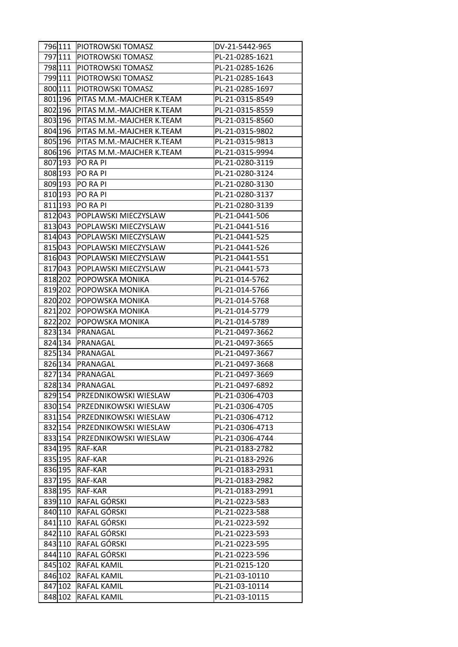|         | 796 111   PIOTROWSKI TOMASZ     | DV-21-5442-965  |
|---------|---------------------------------|-----------------|
| 797 111 | <b>IPIOTROWSKI TOMASZ</b>       | PL-21-0285-1621 |
| 798 111 | <b>PIOTROWSKI TOMASZ</b>        | PL-21-0285-1626 |
| 799 111 | <b>PIOTROWSKI TOMASZ</b>        | PL-21-0285-1643 |
| 800 111 | PIOTROWSKI TOMASZ               | PL-21-0285-1697 |
| 801 196 | PITAS M.M.-MAJCHER K.TEAM       | PL-21-0315-8549 |
| 802 196 | PITAS M.M.-MAJCHER K.TEAM       | PL-21-0315-8559 |
| 803 196 | PITAS M.M.-MAJCHER K.TEAM       | PL-21-0315-8560 |
| 804 196 | PITAS M.M.-MAJCHER K.TEAM       | PL-21-0315-9802 |
| 805 196 | PITAS M.M.-MAJCHER K.TEAM       | PL-21-0315-9813 |
| 806 196 | PITAS M.M.-MAJCHER K.TEAM       | PL-21-0315-9994 |
| 807 193 | <b>PO RA PI</b>                 | PL-21-0280-3119 |
| 808 193 | PO RA PI                        | PL-21-0280-3124 |
| 809 193 | PO RA PI                        | PL-21-0280-3130 |
| 810 193 | PO RA PI                        | PL-21-0280-3137 |
| 811 193 | PO RA PI                        | PL-21-0280-3139 |
| 812043  | POPLAWSKI MIECZYSLAW            | PL-21-0441-506  |
| 813043  | POPLAWSKI MIECZYSLAW            | PL-21-0441-516  |
| 814 043 | POPLAWSKI MIECZYSLAW            | PL-21-0441-525  |
| 815043  | POPLAWSKI MIECZYSLAW            | PL-21-0441-526  |
| 816043  | POPLAWSKI MIECZYSLAW            | PL-21-0441-551  |
| 817043  | POPLAWSKI MIECZYSLAW            | PL-21-0441-573  |
| 818 202 | POPOWSKA MONIKA                 | PL-21-014-5762  |
| 819 202 | POPOWSKA MONIKA                 | PL-21-014-5766  |
| 820 202 | POPOWSKA MONIKA                 | PL-21-014-5768  |
| 821 202 | POPOWSKA MONIKA                 | PL-21-014-5779  |
| 822202  | POPOWSKA MONIKA                 | PL-21-014-5789  |
| 823 134 | PRANAGAL                        | PL-21-0497-3662 |
| 824 134 | PRANAGAL                        | PL-21-0497-3665 |
| 825 134 | PRANAGAL                        | PL-21-0497-3667 |
| 826 134 | PRANAGAL                        | PL-21-0497-3668 |
| 827 134 | PRANAGAL                        | PL-21-0497-3669 |
| 828 134 | PRANAGAL                        | PL-21-0497-6892 |
|         | 829 154   PRZEDNIKOWSKI WIESLAW | PL-21-0306-4703 |
|         | 830 154  PRZEDNIKOWSKI WIESLAW  | PL-21-0306-4705 |
|         | 831 154   PRZEDNIKOWSKI WIESLAW | PL-21-0306-4712 |
|         | 832 154  PRZEDNIKOWSKI WIESLAW  | PL-21-0306-4713 |
| 833 154 | <b>PRZEDNIKOWSKI WIESLAW</b>    | PL-21-0306-4744 |
| 834 195 | RAF-KAR                         | PL-21-0183-2782 |
|         | 835 195 RAF-KAR                 | PL-21-0183-2926 |
| 836 195 | RAF-KAR                         | PL-21-0183-2931 |
|         | 837 195 RAF-KAR                 | PL-21-0183-2982 |
|         | 838 195 RAF-KAR                 | PL-21-0183-2991 |
| 839 110 | RAFAL GÓRSKI                    | PL-21-0223-583  |
| 840 110 | <b>RAFAL GÓRSKI</b>             | PL-21-0223-588  |
|         | 841 110 RAFAL GÓRSKI            | PL-21-0223-592  |
|         | 842 110 RAFAL GÓRSKI            | PL-21-0223-593  |
| 843 110 | <b>RAFAL GÓRSKI</b>             | PL-21-0223-595  |
| 844 110 | <b>RAFAL GÓRSKI</b>             | PL-21-0223-596  |
| 845 102 | <b>RAFAL KAMIL</b>              | PL-21-0215-120  |
| 846 102 | <b>RAFAL KAMIL</b>              | PL-21-03-10110  |
|         | 847 102 RAFAL KAMIL             | PL-21-03-10114  |
| 848 102 | <b>RAFAL KAMIL</b>              | PL-21-03-10115  |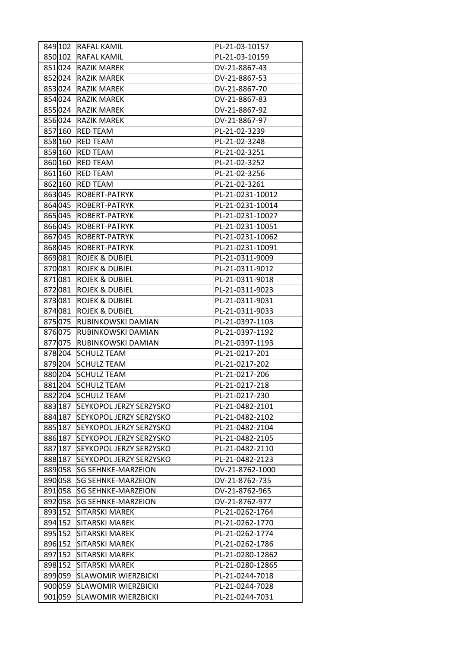|         | 849 102 RAFAL KAMIL             | PL-21-03-10157   |
|---------|---------------------------------|------------------|
| 850 102 | <b>RAFAL KAMIL</b>              | PL-21-03-10159   |
| 851024  | <b>RAZIK MAREK</b>              | DV-21-8867-43    |
| 852024  | <b>RAZIK MAREK</b>              | DV-21-8867-53    |
| 853024  | <b>RAZIK MAREK</b>              | DV-21-8867-70    |
| 854 024 | <b>RAZIK MAREK</b>              | DV-21-8867-83    |
| 855024  | <b>RAZIK MAREK</b>              | DV-21-8867-92    |
| 856024  | <b>RAZIK MAREK</b>              | DV-21-8867-97    |
| 857 160 | <b>RED TEAM</b>                 | PL-21-02-3239    |
| 858 160 | <b>RED TEAM</b>                 | PL-21-02-3248    |
| 859 160 | <b>RED TEAM</b>                 | PL-21-02-3251    |
| 860 160 | <b>RED TEAM</b>                 | PL-21-02-3252    |
| 861 160 | <b>RED TEAM</b>                 | PL-21-02-3256    |
| 862 160 | <b>RED TEAM</b>                 | PL-21-02-3261    |
| 863045  | <b>ROBERT-PATRYK</b>            | PL-21-0231-10012 |
| 864 045 | <b>ROBERT-PATRYK</b>            | PL-21-0231-10014 |
| 865045  | <b>ROBERT-PATRYK</b>            | PL-21-0231-10027 |
| 866045  | <b>ROBERT-PATRYK</b>            | PL-21-0231-10051 |
| 867 045 | <b>ROBERT-PATRYK</b>            | PL-21-0231-10062 |
| 868045  | ROBERT-PATRYK                   | PL-21-0231-10091 |
| 869081  | <b>ROJEK &amp; DUBIEL</b>       | PL-21-0311-9009  |
| 870081  | <b>ROJEK &amp; DUBIEL</b>       | PL-21-0311-9012  |
| 871081  | <b>ROJEK &amp; DUBIEL</b>       | PL-21-0311-9018  |
| 872081  | <b>ROJEK &amp; DUBIEL</b>       | PL-21-0311-9023  |
| 873081  | <b>ROJEK &amp; DUBIEL</b>       | PL-21-0311-9031  |
| 874 081 | <b>ROJEK &amp; DUBIEL</b>       | PL-21-0311-9033  |
| 875075  | RUBINKOWSKI DAMIAN              | PL-21-0397-1103  |
| 876075  | <b>RUBINKOWSKI DAMIAN</b>       | PL-21-0397-1192  |
| 877075  | RUBINKOWSKI DAMIAN              | PL-21-0397-1193  |
| 878204  | <b>SCHULZ TEAM</b>              | PL-21-0217-201   |
| 879204  | <b>SCHULZ TEAM</b>              | PL-21-0217-202   |
| 880 204 | <b>SCHULZ TEAM</b>              | PL-21-0217-206   |
| 881 204 | <b>SCHULZ TEAM</b>              | PL-21-0217-218   |
|         | 882 204  SCHULZ TEAM            | PL-21-0217-230   |
|         | 883 187 SEYKOPOL JERZY SERZYSKO | PL-21-0482-2101  |
|         | 884 187 SEYKOPOL JERZY SERZYSKO | PL-21-0482-2102  |
| 885 187 | SEYKOPOL JERZY SERZYSKO         | PL-21-0482-2104  |
| 886 187 | SEYKOPOL JERZY SERZYSKO         | PL-21-0482-2105  |
| 887 187 | SEYKOPOL JERZY SERZYSKO         | PL-21-0482-2110  |
|         | 888 187 SEYKOPOL JERZY SERZYSKO | PL-21-0482-2123  |
| 889058  | <b>SG SEHNKE-MARZEION</b>       | DV-21-8762-1000  |
| 890 058 | <b>SG SEHNKE-MARZEION</b>       | DV-21-8762-735   |
| 891 058 | <b>SG SEHNKE-MARZEION</b>       | DV-21-8762-965   |
| 892 058 | <b>SG SEHNKE-MARZEION</b>       | DV-21-8762-977   |
| 893 152 | <b>SITARSKI MAREK</b>           | PL-21-0262-1764  |
|         | 894 152 SITARSKI MAREK          | PL-21-0262-1770  |
| 895 152 | <b>SITARSKI MAREK</b>           | PL-21-0262-1774  |
| 896 152 | <b>SITARSKI MAREK</b>           | PL-21-0262-1786  |
| 897 152 | <b>SITARSKI MAREK</b>           | PL-21-0280-12862 |
| 898 152 | <b>SITARSKI MAREK</b>           | PL-21-0280-12865 |
| 899 059 | <b>SLAWOMIR WIERZBICKI</b>      | PL-21-0244-7018  |
| 900 059 | <b>SLAWOMIR WIERZBICKI</b>      | PL-21-0244-7028  |
| 901 059 | <b>SLAWOMIR WIERZBICKI</b>      | PL-21-0244-7031  |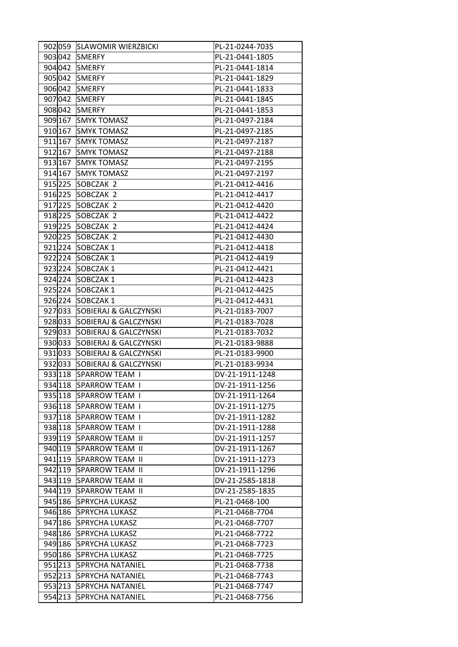| 902 059 | <b>SLAWOMIR WIERZBICKI</b>       | PL-21-0244-7035 |
|---------|----------------------------------|-----------------|
| 903042  | <b>SMERFY</b>                    | PL-21-0441-1805 |
| 904 042 | <b>SMERFY</b>                    | PL-21-0441-1814 |
| 905 042 | <b>SMERFY</b>                    | PL-21-0441-1829 |
| 906 042 | <b>SMERFY</b>                    | PL-21-0441-1833 |
| 907 042 | <b>SMERFY</b>                    | PL-21-0441-1845 |
| 908042  | <b>SMERFY</b>                    | PL-21-0441-1853 |
| 909 167 | <b>SMYK TOMASZ</b>               | PL-21-0497-2184 |
|         | 910 167 SMYK TOMASZ              | PL-21-0497-2185 |
| 911 167 | <b>SMYK TOMASZ</b>               | PL-21-0497-2187 |
| 912 167 | <b>SMYK TOMASZ</b>               | PL-21-0497-2188 |
| 913 167 | <b>SMYK TOMASZ</b>               | PL-21-0497-2195 |
| 914 167 | <b>SMYK TOMASZ</b>               | PL-21-0497-2197 |
| 915 225 | SOBCZAK <sub>2</sub>             | PL-21-0412-4416 |
| 916 225 | SOBCZAK 2                        | PL-21-0412-4417 |
| 917 225 | SOBCZAK 2                        | PL-21-0412-4420 |
| 918 225 | SOBCZAK 2                        | PL-21-0412-4422 |
| 919225  | SOBCZAK 2                        | PL-21-0412-4424 |
| 920 225 | SOBCZAK 2                        | PL-21-0412-4430 |
| 921224  | SOBCZAK1                         | PL-21-0412-4418 |
|         |                                  |                 |
| 922224  | SOBCZAK1                         | PL-21-0412-4419 |
| 923224  | SOBCZAK1                         | PL-21-0412-4421 |
| 924 224 | SOBCZAK1                         | PL-21-0412-4423 |
| 925 224 | SOBCZAK1                         | PL-21-0412-4425 |
| 926 224 | SOBCZAK1                         | PL-21-0412-4431 |
| 927033  | SOBIERAJ & GALCZYNSKI            | PL-21-0183-7007 |
| 928033  | SOBIERAJ & GALCZYNSKI            | PL-21-0183-7028 |
| 929033  | SOBIERAJ & GALCZYNSKI            | PL-21-0183-7032 |
| 930 033 | SOBIERAJ & GALCZYNSKI            | PL-21-0183-9888 |
| 931 033 | <b>SOBIERAJ &amp; GALCZYNSKI</b> | PL-21-0183-9900 |
| 932033  | SOBIERAJ & GALCZYNSKI            | PL-21-0183-9934 |
| 933 118 | SPARROW TEAM I                   | DV-21-1911-1248 |
| 934 118 | SPARROW TEAM I                   | DV-21-1911-1256 |
|         | 935 118 SPARROW TEAM I           | DV-21-1911-1264 |
|         | 936 118 SPARROW TEAM I           | DV-21-1911-1275 |
|         | 937 118 SPARROW TEAM I           | DV-21-1911-1282 |
| 938 118 | SPARROW TEAM I                   | DV-21-1911-1288 |
| 939 119 | <b>SPARROW TEAM II</b>           | DV-21-1911-1257 |
|         | 940 119 SPARROW TEAM II          | DV-21-1911-1267 |
|         | 941 19 SPARROW TEAM II           | DV-21-1911-1273 |
|         | 942 119 SPARROW TEAM II          | DV-21-1911-1296 |
|         | 943 119 SPARROW TEAM II          | DV-21-2585-1818 |
|         | 944 119 SPARROW TEAM II          | DV-21-2585-1835 |
| 945 186 | <b>SPRYCHA LUKASZ</b>            | PL-21-0468-100  |
|         | 946 186 SPRYCHA LUKASZ           | PL-21-0468-7704 |
|         | 947 186 SPRYCHA LUKASZ           | PL-21-0468-7707 |
|         | 948 186 SPRYCHA LUKASZ           | PL-21-0468-7722 |
|         | 949 186 SPRYCHA LUKASZ           | PL-21-0468-7723 |
| 950 186 | <b>SPRYCHA LUKASZ</b>            | PL-21-0468-7725 |
| 951213  | <b>SPRYCHA NATANIEL</b>          | PL-21-0468-7738 |
| 952 213 | <b>SPRYCHA NATANIEL</b>          | PL-21-0468-7743 |
|         | 953 213 SPRYCHA NATANIEL         | PL-21-0468-7747 |
| 954 213 | <b>SPRYCHA NATANIEL</b>          | PL-21-0468-7756 |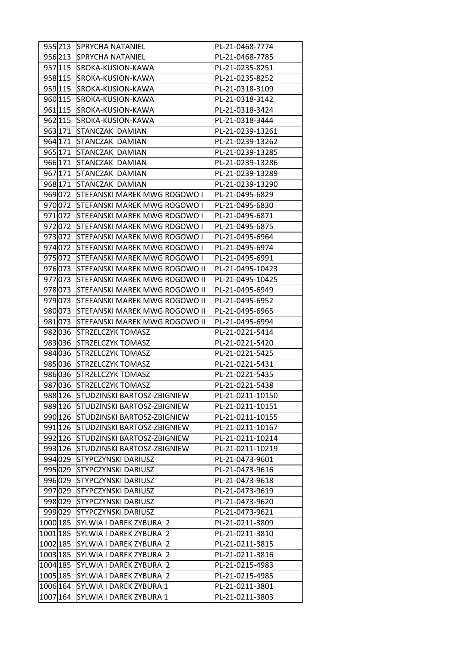|          | 955 213 | <b>SPRYCHA NATANIEL</b>             | PL-21-0468-7774  |
|----------|---------|-------------------------------------|------------------|
|          | 956 213 | <b>SPRYCHA NATANIEL</b>             | PL-21-0468-7785  |
|          | 957 115 | SROKA-KUSION-KAWA                   | PL-21-0235-8251  |
|          | 958 115 | SROKA-KUSION-KAWA                   | PL-21-0235-8252  |
|          | 959 115 | SROKA-KUSION-KAWA                   | PL-21-0318-3109  |
|          | 960 115 | SROKA-KUSION-KAWA                   | PL-21-0318-3142  |
|          | 961 115 | SROKA-KUSION-KAWA                   | PL-21-0318-3424  |
|          | 962 115 | SROKA-KUSION-KAWA                   | PL-21-0318-3444  |
|          | 963 171 | STANCZAK DAMIAN                     | PL-21-0239-13261 |
|          | 964 171 | STANCZAK DAMIAN                     | PL-21-0239-13262 |
|          | 965 171 | STANCZAK DAMIAN                     | PL-21-0239-13285 |
|          | 966 171 | STANCZAK DAMIAN                     | PL-21-0239-13286 |
|          | 967 171 | STANCZAK DAMIAN                     | PL-21-0239-13289 |
|          | 968 171 | STANCZAK DAMIAN                     | PL-21-0239-13290 |
|          | 969072  | STEFANSKI MAREK MWG ROGOWO I        | PL-21-0495-6829  |
|          | 970072  | STEFANSKI MAREK MWG ROGOWO I        | PL-21-0495-6830  |
|          | 971 072 | <b>STEFANSKI MAREK MWG ROGOWO I</b> | PL-21-0495-6871  |
|          | 972072  | STEFANSKI MAREK MWG ROGOWO I        | PL-21-0495-6875  |
|          | 973072  | STEFANSKI MAREK MWG ROGOWO I        | PL-21-0495-6964  |
|          | 974 072 | STEFANSKI MAREK MWG ROGOWO I        | PL-21-0495-6974  |
|          | 975072  | STEFANSKI MAREK MWG ROGOWO I        | PL-21-0495-6991  |
|          |         |                                     |                  |
|          | 976073  | STEFANSKI MAREK MWG ROGOWO II       | PL-21-0495-10423 |
|          | 977073  | STEFANSKI MAREK MWG ROGOWO II       | PL-21-0495-10425 |
|          | 978073  | STEFANSKI MAREK MWG ROGOWO II       | PL-21-0495-6949  |
|          | 979073  | STEFANSKI MAREK MWG ROGOWO II       | PL-21-0495-6952  |
|          | 980 073 | STEFANSKI MAREK MWG ROGOWO II       | PL-21-0495-6965  |
|          | 981073  | STEFANSKI MAREK MWG ROGOWO II       | PL-21-0495-6994  |
|          | 982 036 | <b>STRZELCZYK TOMASZ</b>            | PL-21-0221-5414  |
|          | 983036  | <b>STRZELCZYK TOMASZ</b>            | PL-21-0221-5420  |
|          | 984 036 | <b>STRZELCZYK TOMASZ</b>            | PL-21-0221-5425  |
|          | 985036  | <b>STRZELCZYK TOMASZ</b>            | PL-21-0221-5431  |
|          | 986036  | <b>STRZELCZYK TOMASZ</b>            | PL-21-0221-5435  |
|          | 987036  | STRZELCZYK TOMASZ                   | PL-21-0221-5438  |
|          |         | 988 126 STUDZINSKI BARTOSZ-ZBIGNIEW | PL-21-0211-10150 |
|          | 989 126 | STUDZINSKI BARTOSZ-ZBIGNIEW         | PL-21-0211-10151 |
|          | 990 126 | STUDZINSKI BARTOSZ-ZBIGNIEW         | PL-21-0211-10155 |
|          | 991 126 | STUDZINSKI BARTOSZ-ZBIGNIEW         | PL-21-0211-10167 |
|          | 992 126 | STUDZINSKI BARTOSZ-ZBIGNIEW         | PL-21-0211-10214 |
|          | 993 126 | STUDZINSKI BARTOSZ-ZBIGNIEW         | PL-21-0211-10219 |
|          | 994 029 | <b>STYPCZYNSKI DARIUSZ</b>          | PL-21-0473-9601  |
|          | 995 029 | <b>STYPCZYNSKI DARIUSZ</b>          | PL-21-0473-9616  |
|          | 996 029 | <b>STYPCZYNSKI DARIUSZ</b>          | PL-21-0473-9618  |
|          | 997 029 | STYPCZYNSKI DARIUSZ                 | PL-21-0473-9619  |
|          | 998029  | <b>STYPCZYNSKI DARIUSZ</b>          | PL-21-0473-9620  |
|          | 999029  | <b>STYPCZYNSKI DARIUSZ</b>          | PL-21-0473-9621  |
| 1000 185 |         | SYLWIA I DAREK ZYBURA 2             | PL-21-0211-3809  |
| 1001 185 |         | SYLWIA I DAREK ZYBURA 2             | PL-21-0211-3810  |
| 1002 185 |         | SYLWIA I DAREK ZYBURA 2             | PL-21-0211-3815  |
| 1003 185 |         | SYLWIA I DAREK ZYBURA 2             | PL-21-0211-3816  |
| 1004 185 |         | SYLWIA I DAREK ZYBURA 2             | PL-21-0215-4983  |
| 1005 185 |         | SYLWIA I DAREK ZYBURA 2             | PL-21-0215-4985  |
| 1006 164 |         | SYLWIA I DAREK ZYBURA 1             | PL-21-0211-3801  |
| 1007 164 |         | SYLWIA I DAREK ZYBURA 1             | PL-21-0211-3803  |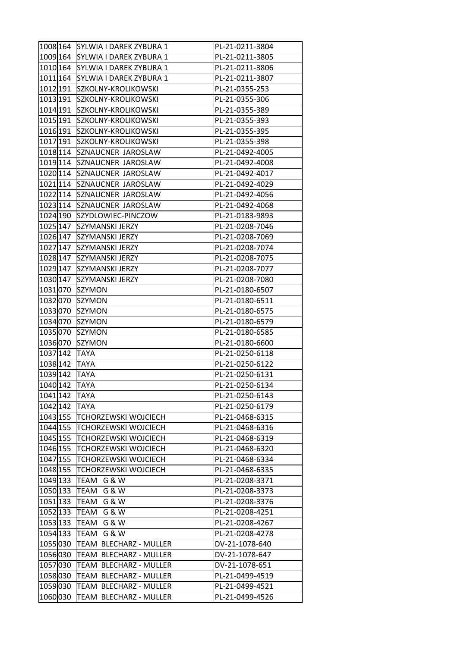| 1008 164 | SYLWIA I DAREK ZYBURA 1     | PL-21-0211-3804 |
|----------|-----------------------------|-----------------|
| 1009 164 | SYLWIA I DAREK ZYBURA 1     | PL-21-0211-3805 |
| 1010 164 | SYLWIA I DAREK ZYBURA 1     | PL-21-0211-3806 |
| 1011 164 | SYLWIA I DAREK ZYBURA 1     | PL-21-0211-3807 |
| 1012 191 | SZKOLNY-KROLIKOWSKI         | PL-21-0355-253  |
| 1013 191 | SZKOLNY-KROLIKOWSKI         | PL-21-0355-306  |
| 1014 191 | SZKOLNY-KROLIKOWSKI         | PL-21-0355-389  |
| 1015 191 | SZKOLNY-KROLIKOWSKI         | PL-21-0355-393  |
| 1016 191 | SZKOLNY-KROLIKOWSKI         | PL-21-0355-395  |
| 1017 191 | SZKOLNY-KROLIKOWSKI         | PL-21-0355-398  |
| 1018 114 | SZNAUCNER JAROSLAW          | PL-21-0492-4005 |
| 1019 114 | SZNAUCNER JAROSLAW          | PL-21-0492-4008 |
| 1020 114 | SZNAUCNER JAROSLAW          | PL-21-0492-4017 |
| 1021 114 | SZNAUCNER JAROSLAW          | PL-21-0492-4029 |
| 1022 114 | <b>SZNAUCNER JAROSLAW</b>   | PL-21-0492-4056 |
| 1023 114 | SZNAUCNER JAROSLAW          | PL-21-0492-4068 |
| 1024 190 | SZYDLOWIEC-PINCZOW          | PL-21-0183-9893 |
| 1025 147 | SZYMANSKI JERZY             | PL-21-0208-7046 |
| 1026 147 | SZYMANSKI JERZY             | PL-21-0208-7069 |
| 1027 147 | SZYMANSKI JERZY             | PL-21-0208-7074 |
| 1028 147 | <b>SZYMANSKI JERZY</b>      | PL-21-0208-7075 |
| 1029 147 | SZYMANSKI JERZY             | PL-21-0208-7077 |
| 1030 147 | SZYMANSKI JERZY             | PL-21-0208-7080 |
| 1031 070 | <b>SZYMON</b>               | PL-21-0180-6507 |
| 1032070  | <b>SZYMON</b>               | PL-21-0180-6511 |
| 1033070  | <b>SZYMON</b>               | PL-21-0180-6575 |
| 1034 070 | <b>SZYMON</b>               | PL-21-0180-6579 |
| 1035070  | <b>SZYMON</b>               | PL-21-0180-6585 |
| 1036070  | <b>SZYMON</b>               | PL-21-0180-6600 |
| 1037 142 | <b>TAYA</b>                 | PL-21-0250-6118 |
| 1038 142 | <b>TAYA</b>                 | PL-21-0250-6122 |
| 1039 142 | <b>TAYA</b>                 | PL-21-0250-6131 |
| 1040 142 | <b>TAYA</b>                 | PL-21-0250-6134 |
| 1041 142 | <b>TAYA</b>                 | PL-21-0250-6143 |
| 1042 142 | <b>TAYA</b>                 | PL-21-0250-6179 |
| 1043 155 | <b>TCHORZEWSKI WOJCIECH</b> | PL-21-0468-6315 |
| 1044 155 | <b>TCHORZEWSKI WOJCIECH</b> | PL-21-0468-6316 |
| 1045 155 | <b>TCHORZEWSKI WOJCIECH</b> | PL-21-0468-6319 |
| 1046 155 | <b>TCHORZEWSKI WOJCIECH</b> | PL-21-0468-6320 |
| 1047 155 | <b>TCHORZEWSKI WOJCIECH</b> | PL-21-0468-6334 |
| 1048 155 | <b>TCHORZEWSKI WOJCIECH</b> | PL-21-0468-6335 |
| 1049 133 | TEAM G & W                  | PL-21-0208-3371 |
| 1050 133 | TEAM G & W                  | PL-21-0208-3373 |
| 1051 133 | TEAM G & W                  | PL-21-0208-3376 |
| 1052 133 | TEAM G & W                  | PL-21-0208-4251 |
| 1053 133 | TEAM G & W                  | PL-21-0208-4267 |
| 1054 133 | TEAM G & W                  | PL-21-0208-4278 |
| 1055030  | TEAM BLECHARZ - MULLER      | DV-21-1078-640  |
| 1056030  | TEAM BLECHARZ - MULLER      | DV-21-1078-647  |
| 1057 030 | TEAM BLECHARZ - MULLER      | DV-21-1078-651  |
| 1058030  | TEAM BLECHARZ - MULLER      | PL-21-0499-4519 |
| 1059 030 | TEAM BLECHARZ - MULLER      | PL-21-0499-4521 |
| 1060030  | TEAM BLECHARZ - MULLER      | PL-21-0499-4526 |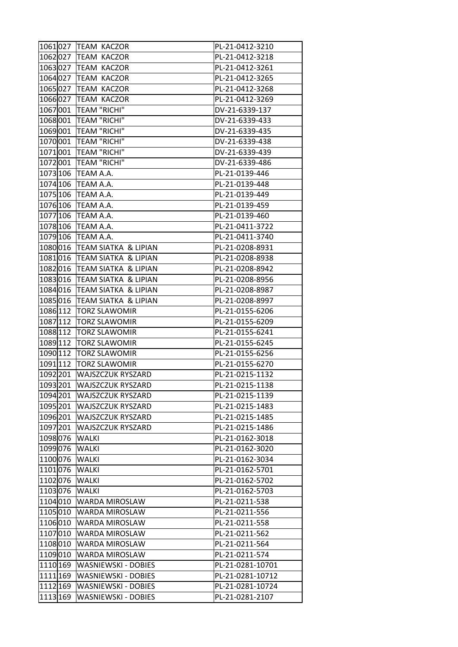|          | 1061027 TEAM KACZOR             | PL-21-0412-3210  |
|----------|---------------------------------|------------------|
| 1062027  | <b>TEAM KACZOR</b>              | PL-21-0412-3218  |
|          | 1063027 TEAM KACZOR             | PL-21-0412-3261  |
|          | 1064 027 TEAM KACZOR            | PL-21-0412-3265  |
| 1065027  | <b>TEAM KACZOR</b>              | PL-21-0412-3268  |
| 1066027  | <b>TEAM KACZOR</b>              | PL-21-0412-3269  |
| 1067001  | TEAM "RICHI"                    | DV-21-6339-137   |
| 1068001  | TEAM "RICHI"                    | DV-21-6339-433   |
| 1069001  | TEAM "RICHI"                    | DV-21-6339-435   |
| 1070001  | TEAM "RICHI"                    | DV-21-6339-438   |
| 1071001  | TEAM "RICHI"                    | DV-21-6339-439   |
| 1072001  | TEAM "RICHI"                    | DV-21-6339-486   |
| 1073 106 | <b>TEAM A.A.</b>                | PL-21-0139-446   |
| 1074 106 | <b>TEAM A.A.</b>                | PL-21-0139-448   |
| 1075 106 | <b>TEAM A.A.</b>                | PL-21-0139-449   |
|          | 1076106 TEAM A.A.               | PL-21-0139-459   |
| 1077 106 | <b>TEAM A.A.</b>                | PL-21-0139-460   |
| 1078 106 | TEAM A.A.                       | PL-21-0411-3722  |
| 1079 106 | TEAM A.A.                       | PL-21-0411-3740  |
| 1080016  | TEAM SIATKA & LIPIAN            | PL-21-0208-8931  |
| 1081 016 | TEAM SIATKA & LIPIAN            | PL-21-0208-8938  |
|          | 1082016 TEAM SIATKA & LIPIAN    | PL-21-0208-8942  |
|          | 1083016 TEAM SIATKA & LIPIAN    | PL-21-0208-8956  |
| 1084 016 | TEAM SIATKA & LIPIAN            | PL-21-0208-8987  |
| 1085016  | <b>TEAM SIATKA &amp; LIPIAN</b> | PL-21-0208-8997  |
| 1086 112 | <b>TORZ SLAWOMIR</b>            | PL-21-0155-6206  |
| 1087 112 | <b>TORZ SLAWOMIR</b>            | PL-21-0155-6209  |
| 1088 112 | <b>TORZ SLAWOMIR</b>            | PL-21-0155-6241  |
| 1089 112 | <b>TORZ SLAWOMIR</b>            | PL-21-0155-6245  |
| 1090 112 | <b>TORZ SLAWOMIR</b>            | PL-21-0155-6256  |
| 1091 112 | <b>TORZ SLAWOMIR</b>            | PL-21-0155-6270  |
| 1092 201 | <b>WAJSZCZUK RYSZARD</b>        | PL-21-0215-1132  |
| 1093 201 | <b>WAJSZCZUK RYSZARD</b>        | PL-21-0215-1138  |
| 1094 201 | <b>WAJSZCZUK RYSZARD</b>        | PL-21-0215-1139  |
| 1095 201 | <b>WAJSZCZUK RYSZARD</b>        | PL-21-0215-1483  |
| 1096 201 | <b>WAJSZCZUK RYSZARD</b>        | PL-21-0215-1485  |
| 1097 201 | <b>WAJSZCZUK RYSZARD</b>        | PL-21-0215-1486  |
| 1098076  | <b>WALKI</b>                    | PL-21-0162-3018  |
| 1099076  | <b>WALKI</b>                    | PL-21-0162-3020  |
| 1100076  | <b>WALKI</b>                    | PL-21-0162-3034  |
| 1101 076 | <b>WALKI</b>                    | PL-21-0162-5701  |
| 1102076  | <b>WALKI</b>                    | PL-21-0162-5702  |
| 1103076  | <b>WALKI</b>                    | PL-21-0162-5703  |
| 1104 010 | <b>WARDA MIROSLAW</b>           | PL-21-0211-538   |
| 1105010  | <b>WARDA MIROSLAW</b>           | PL-21-0211-556   |
| 1106010  | <b>WARDA MIROSLAW</b>           | PL-21-0211-558   |
| 1107010  | <b>WARDA MIROSLAW</b>           | PL-21-0211-562   |
| 1108010  | <b>WARDA MIROSLAW</b>           | PL-21-0211-564   |
| 1109010  | <b>WARDA MIROSLAW</b>           | PL-21-0211-574   |
| 1110 169 | WASNIEWSKI - DOBIES             | PL-21-0281-10701 |
| 1111 169 | <b>WASNIEWSKI - DOBIES</b>      | PL-21-0281-10712 |
| 1112 169 | <b>WASNIEWSKI - DOBIES</b>      | PL-21-0281-10724 |
|          |                                 |                  |
| 1113 169 | <b>WASNIEWSKI - DOBIES</b>      | PL-21-0281-2107  |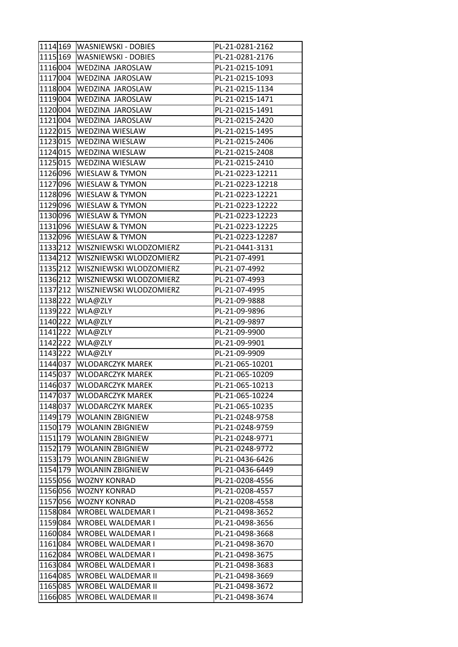| 1114 169 | <b>WASNIEWSKI - DOBIES</b>     | PL-21-0281-2162                    |
|----------|--------------------------------|------------------------------------|
| 1115 169 | WASNIEWSKI - DOBIES            | PL-21-0281-2176                    |
|          | 1116004 WEDZINA JAROSLAW       | PL-21-0215-1091                    |
|          | 1117004 WEDZINA JAROSLAW       | PL-21-0215-1093                    |
| 1118004  | <b>WEDZINA JAROSLAW</b>        | PL-21-0215-1134                    |
| 1119 004 | <b>WEDZINA JAROSLAW</b>        | PL-21-0215-1471                    |
| 1120 004 | <b>WEDZINA JAROSLAW</b>        | PL-21-0215-1491                    |
| 1121 004 | <b>WEDZINA JAROSLAW</b>        | PL-21-0215-2420                    |
|          | 1122015 WEDZINA WIESLAW        | PL-21-0215-1495                    |
|          | 1123015 WEDZINA WIESLAW        | PL-21-0215-2406                    |
| 1124 015 | <b>WEDZINA WIESLAW</b>         | PL-21-0215-2408                    |
| 1125 015 | <b>WEDZINA WIESLAW</b>         | PL-21-0215-2410                    |
| 1126 096 | <b>WIESLAW &amp; TYMON</b>     | PL-21-0223-12211                   |
| 1127096  | <b>WIESLAW &amp; TYMON</b>     | PL-21-0223-12218                   |
| 1128096  | <b>WIESLAW &amp; TYMON</b>     | PL-21-0223-12221                   |
| 1129 096 | <b>WIESLAW &amp; TYMON</b>     | PL-21-0223-12222                   |
|          | 1130096 WIESLAW & TYMON        | PL-21-0223-12223                   |
| 1131 096 | <b>WIESLAW &amp; TYMON</b>     | PL-21-0223-12225                   |
| 1132 096 | <b>WIESLAW &amp; TYMON</b>     | PL-21-0223-12287                   |
| 1133212  | WISZNIEWSKI WLODZOMIERZ        | PL-21-0441-3131                    |
| 1134 212 | WISZNIEWSKI WLODZOMIERZ        | PL-21-07-4991                      |
| 1135 212 | WISZNIEWSKI WLODZOMIERZ        | PL-21-07-4992                      |
| 1136 212 | <b>WISZNIEWSKI WLODZOMIERZ</b> | PL-21-07-4993                      |
| 1137 212 | WISZNIEWSKI WLODZOMIERZ        | PL-21-07-4995                      |
| 1138 222 | WLA@ZLY                        | PL-21-09-9888                      |
| 1139 222 |                                | PL-21-09-9896                      |
| 1140 222 | WLA@ZLY<br>WLA@ZLY             | PL-21-09-9897                      |
| 1141222  | WLA@ZLY                        | PL-21-09-9900                      |
| 1142222  | WLA@ZLY                        | PL-21-09-9901                      |
| 1143 222 | WLA@ZLY                        | PL-21-09-9909                      |
| 1144 037 | <b>WLODARCZYK MAREK</b>        | PL-21-065-10201                    |
| 1145 037 | <b>WLODARCZYK MAREK</b>        | PL-21-065-10209                    |
| 1146 037 | <b>WLODARCZYK MAREK</b>        | PL-21-065-10213                    |
| 1147 037 | <b>WLODARCZYK MAREK</b>        |                                    |
| 1148 037 | <b>WLODARCZYK MAREK</b>        | PL-21-065-10224<br>PL-21-065-10235 |
|          | <b>WOLANIN ZBIGNIEW</b>        |                                    |
| 1149 179 |                                | PL-21-0248-9758                    |
| 1150 179 | <b>WOLANIN ZBIGNIEW</b>        | PL-21-0248-9759                    |
| 1151 179 | <b>WOLANIN ZBIGNIEW</b>        | PL-21-0248-9771                    |
| 1152 179 | <b>WOLANIN ZBIGNIEW</b>        | PL-21-0248-9772                    |
| 1153 179 | <b>WOLANIN ZBIGNIEW</b>        | PL-21-0436-6426                    |
| 1154 179 | <b>WOLANIN ZBIGNIEW</b>        | PL-21-0436-6449                    |
| 1155056  | <b>WOZNY KONRAD</b>            | PL-21-0208-4556                    |
| 1156056  | <b>WOZNY KONRAD</b>            | PL-21-0208-4557                    |
| 1157056  | <b>WOZNY KONRAD</b>            | PL-21-0208-4558                    |
| 1158084  | <b>WROBEL WALDEMAR I</b>       | PL-21-0498-3652                    |
| 1159 084 | <b>WROBEL WALDEMAR I</b>       | PL-21-0498-3656                    |
| 1160 084 | <b>WROBEL WALDEMAR I</b>       | PL-21-0498-3668                    |
| 1161 084 | <b>WROBEL WALDEMAR I</b>       | PL-21-0498-3670                    |
| 1162084  | WROBEL WALDEMAR I              | PL-21-0498-3675                    |
| 1163084  | WROBEL WALDEMAR I              | PL-21-0498-3683                    |
| 1164 085 | <b>WROBEL WALDEMAR II</b>      | PL-21-0498-3669                    |
| 1165085  | <b>WROBEL WALDEMAR II</b>      | PL-21-0498-3672                    |
| 1166085  | WROBEL WALDEMAR II             | PL-21-0498-3674                    |